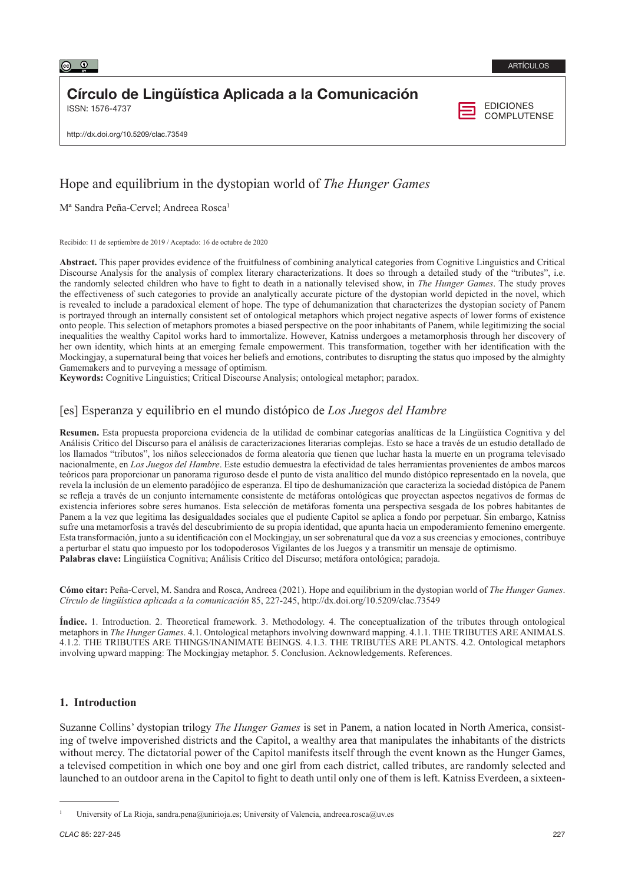# Círculo de Lingüística Aplicada a la Comunicación

ISSN: 1576-4737

**EDICIONES COMPLUTENSE** 

http://dx.doi.org/10.5209/clac.73549

# Hope and equilibrium in the dystopian world of *The Hunger Games*

M<sup>a</sup> Sandra Peña-Cervel; Andreea Rosca<sup>1</sup>

Recibido: 11 de septiembre de 2019 / Aceptado: 16 de octubre de 2020

**Abstract.** This paper provides evidence of the fruitfulness of combining analytical categories from Cognitive Linguistics and Critical Discourse Analysis for the analysis of complex literary characterizations. It does so through a detailed study of the "tributes", i.e. the randomly selected children who have to fight to death in a nationally televised show, in *The Hunger Games*. The study proves the effectiveness of such categories to provide an analytically accurate picture of the dystopian world depicted in the novel, which is revealed to include a paradoxical element of hope. The type of dehumanization that characterizes the dystopian society of Panem is portrayed through an internally consistent set of ontological metaphors which project negative aspects of lower forms of existence onto people. This selection of metaphors promotes a biased perspective on the poor inhabitants of Panem, while legitimizing the social inequalities the wealthy Capitol works hard to immortalize. However, Katniss undergoes a metamorphosis through her discovery of her own identity, which hints at an emerging female empowerment. This transformation, together with her identification with the Mockingjay, a supernatural being that voices her beliefs and emotions, contributes to disrupting the status quo imposed by the almighty Gamemakers and to purveying a message of optimism.

**Keywords:** Cognitive Linguistics; Critical Discourse Analysis; ontological metaphor; paradox.

## [es] Esperanza y equilibrio en el mundo distópico de *Los Juegos del Hambre*

**Resumen.** Esta propuesta proporciona evidencia de la utilidad de combinar categorías analíticas de la Lingüística Cognitiva y del Análisis Crítico del Discurso para el análisis de caracterizaciones literarias complejas. Esto se hace a través de un estudio detallado de los llamados "tributos", los niños seleccionados de forma aleatoria que tienen que luchar hasta la muerte en un programa televisado nacionalmente, en *Los Juegos del Hambre*. Este estudio demuestra la efectividad de tales herramientas provenientes de ambos marcos teóricos para proporcionar un panorama riguroso desde el punto de vista analítico del mundo distópico representado en la novela, que revela la inclusión de un elemento paradójico de esperanza. El tipo de deshumanización que caracteriza la sociedad distópica de Panem se refleja a través de un conjunto internamente consistente de metáforas ontológicas que proyectan aspectos negativos de formas de existencia inferiores sobre seres humanos. Esta selección de metáforas fomenta una perspectiva sesgada de los pobres habitantes de Panem a la vez que legitima las desigualdades sociales que el pudiente Capitol se aplica a fondo por perpetuar. Sin embargo, Katniss sufre una metamorfosis a través del descubrimiento de su propia identidad, que apunta hacia un empoderamiento femenino emergente. Esta transformación, junto a su identificación con el Mockingjay, un ser sobrenatural que da voz a sus creencias y emociones, contribuye a perturbar el statu quo impuesto por los todopoderosos Vigilantes de los Juegos y a transmitir un mensaje de optimismo. **Palabras clave:** Lingüística Cognitiva; Análisis Crítico del Discurso; metáfora ontológica; paradoja.

**Cómo citar:** Peña-Cervel, M. Sandra and Rosca, Andreea (2021). Hope and equilibrium in the dystopian world of *The Hunger Games*. *Círculo de lingüística aplicada a la comunicación* 85, 227-245, http://dx.doi.org/10.5209/clac.73549

**Índice.** 1. Introduction. 2. Theoretical framework. 3. Methodology. 4. The conceptualization of the tributes through ontological metaphors in *The Hunger Games*. 4.1. Ontological metaphors involving downward mapping. 4.1.1. THE TRIBUTES ARE ANIMALS. 4.1.2. THE TRIBUTES ARE THINGS/INANIMATE BEINGS. 4.1.3. THE TRIBUTES ARE PLANTS. 4.2. Ontological metaphors involving upward mapping: The Mockingjay metaphor. 5. Conclusion. Acknowledgements. References.

### **1. Introduction**

Suzanne Collins' dystopian trilogy *The Hunger Games* is set in Panem, a nation located in North America, consisting of twelve impoverished districts and the Capitol, a wealthy area that manipulates the inhabitants of the districts without mercy. The dictatorial power of the Capitol manifests itself through the event known as the Hunger Games, a televised competition in which one boy and one girl from each district, called tributes, are randomly selected and launched to an outdoor arena in the Capitol to fight to death until only one of them is left. Katniss Everdeen, a sixteen-

University of La Rioja, [sandra.pena@unirioja.es](mailto:sandra.pena@unirioja.es); University of Valencia, andreea.rosca@uv.es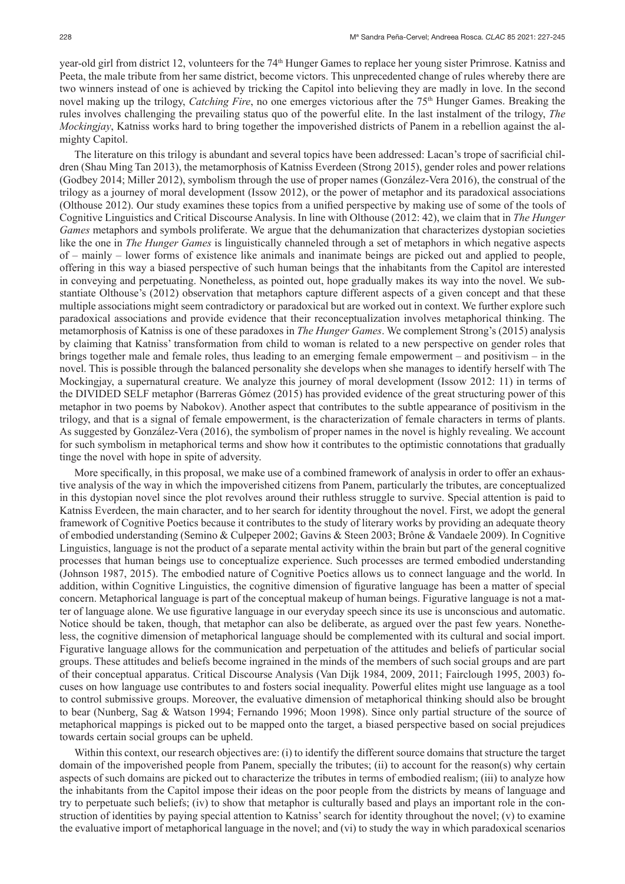year-old girl from district 12, volunteers for the 74<sup>th</sup> Hunger Games to replace her young sister Primrose. Katniss and Peeta, the male tribute from her same district, become victors. This unprecedented change of rules whereby there are two winners instead of one is achieved by tricking the Capitol into believing they are madly in love. In the second novel making up the trilogy, *Catching Fire*, no one emerges victorious after the 75<sup>th</sup> Hunger Games. Breaking the rules involves challenging the prevailing status quo of the powerful elite. In the last instalment of the trilogy, *The Mockingjay*, Katniss works hard to bring together the impoverished districts of Panem in a rebellion against the almighty Capitol.

The literature on this trilogy is abundant and several topics have been addressed: Lacan's trope of sacrificial children (Shau Ming Tan 2013), the metamorphosis of Katniss Everdeen (Strong 2015), gender roles and power relations (Godbey 2014; Miller 2012), symbolism through the use of proper names (González-Vera 2016), the construal of the trilogy as a journey of moral development (Issow 2012), or the power of metaphor and its paradoxical associations (Olthouse 2012). Our study examines these topics from a unified perspective by making use of some of the tools of Cognitive Linguistics and Critical Discourse Analysis. In line with Olthouse (2012: 42), we claim that in *The Hunger Games* metaphors and symbols proliferate. We argue that the dehumanization that characterizes dystopian societies like the one in *The Hunger Games* is linguistically channeled through a set of metaphors in which negative aspects of – mainly – lower forms of existence like animals and inanimate beings are picked out and applied to people, offering in this way a biased perspective of such human beings that the inhabitants from the Capitol are interested in conveying and perpetuating. Nonetheless, as pointed out, hope gradually makes its way into the novel. We substantiate Olthouse's (2012) observation that metaphors capture different aspects of a given concept and that these multiple associations might seem contradictory or paradoxical but are worked out in context. We further explore such paradoxical associations and provide evidence that their reconceptualization involves metaphorical thinking. The metamorphosis of Katniss is one of these paradoxes in *The Hunger Games*. We complement Strong's (2015) analysis by claiming that Katniss' transformation from child to woman is related to a new perspective on gender roles that brings together male and female roles, thus leading to an emerging female empowerment – and positivism – in the novel. This is possible through the balanced personality she develops when she manages to identify herself with The Mockingjay, a supernatural creature. We analyze this journey of moral development (Issow 2012: 11) in terms of the DIVIDED SELF metaphor (Barreras Gómez (2015) has provided evidence of the great structuring power of this metaphor in two poems by Nabokov). Another aspect that contributes to the subtle appearance of positivism in the trilogy, and that is a signal of female empowerment, is the characterization of female characters in terms of plants. As suggested by González-Vera (2016), the symbolism of proper names in the novel is highly revealing. We account for such symbolism in metaphorical terms and show how it contributes to the optimistic connotations that gradually tinge the novel with hope in spite of adversity.

More specifically, in this proposal, we make use of a combined framework of analysis in order to offer an exhaustive analysis of the way in which the impoverished citizens from Panem, particularly the tributes, are conceptualized in this dystopian novel since the plot revolves around their ruthless struggle to survive. Special attention is paid to Katniss Everdeen, the main character, and to her search for identity throughout the novel. First, we adopt the general framework of Cognitive Poetics because it contributes to the study of literary works by providing an adequate theory of embodied understanding (Semino & Culpeper 2002; Gavins & Steen 2003; Brône & Vandaele 2009). In Cognitive Linguistics, language is not the product of a separate mental activity within the brain but part of the general cognitive processes that human beings use to conceptualize experience. Such processes are termed embodied understanding (Johnson 1987, 2015). The embodied nature of Cognitive Poetics allows us to connect language and the world. In addition, within Cognitive Linguistics, the cognitive dimension of figurative language has been a matter of special concern. Metaphorical language is part of the conceptual makeup of human beings. Figurative language is not a matter of language alone. We use figurative language in our everyday speech since its use is unconscious and automatic. Notice should be taken, though, that metaphor can also be deliberate, as argued over the past few years. Nonetheless, the cognitive dimension of metaphorical language should be complemented with its cultural and social import. Figurative language allows for the communication and perpetuation of the attitudes and beliefs of particular social groups. These attitudes and beliefs become ingrained in the minds of the members of such social groups and are part of their conceptual apparatus. Critical Discourse Analysis (Van Dijk 1984, 2009, 2011; Fairclough 1995, 2003) focuses on how language use contributes to and fosters social inequality. Powerful elites might use language as a tool to control submissive groups. Moreover, the evaluative dimension of metaphorical thinking should also be brought to bear (Nunberg, Sag & Watson 1994; Fernando 1996; Moon 1998). Since only partial structure of the source of metaphorical mappings is picked out to be mapped onto the target, a biased perspective based on social prejudices towards certain social groups can be upheld.

Within this context, our research objectives are: (i) to identify the different source domains that structure the target domain of the impoverished people from Panem, specially the tributes; (ii) to account for the reason(s) why certain aspects of such domains are picked out to characterize the tributes in terms of embodied realism; (iii) to analyze how the inhabitants from the Capitol impose their ideas on the poor people from the districts by means of language and try to perpetuate such beliefs; (iv) to show that metaphor is culturally based and plays an important role in the construction of identities by paying special attention to Katniss' search for identity throughout the novel; (v) to examine the evaluative import of metaphorical language in the novel; and (vi) to study the way in which paradoxical scenarios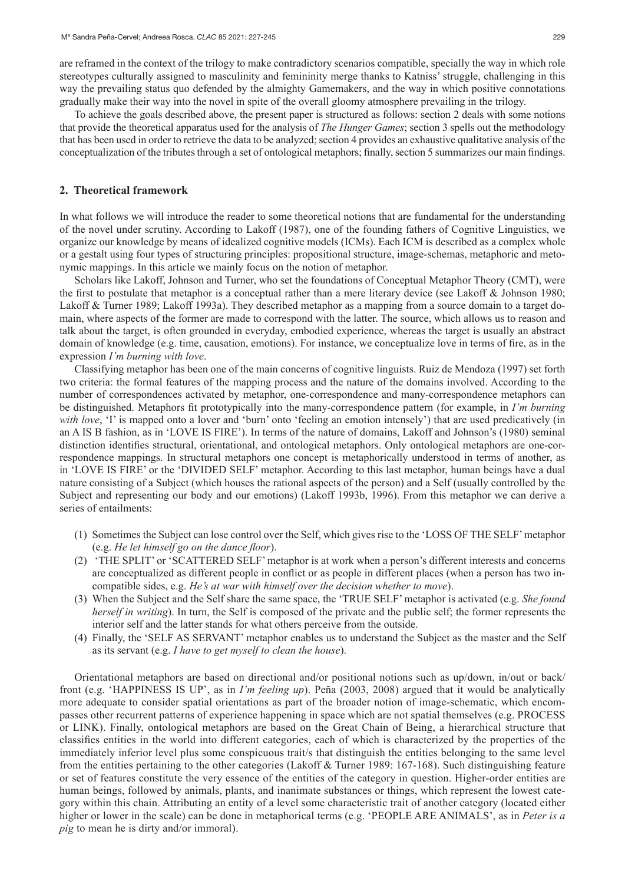are reframed in the context of the trilogy to make contradictory scenarios compatible, specially the way in which role stereotypes culturally assigned to masculinity and femininity merge thanks to Katniss' struggle, challenging in this way the prevailing status quo defended by the almighty Gamemakers, and the way in which positive connotations gradually make their way into the novel in spite of the overall gloomy atmosphere prevailing in the trilogy.

To achieve the goals described above, the present paper is structured as follows: section 2 deals with some notions that provide the theoretical apparatus used for the analysis of *The Hunger Games*; section 3 spells out the methodology that has been used in order to retrieve the data to be analyzed; section 4 provides an exhaustive qualitative analysis of the conceptualization of the tributes through a set of ontological metaphors; finally, section 5 summarizes our main findings.

### **2. Theoretical framework**

In what follows we will introduce the reader to some theoretical notions that are fundamental for the understanding of the novel under scrutiny. According to Lakoff (1987), one of the founding fathers of Cognitive Linguistics, we organize our knowledge by means of idealized cognitive models (ICMs). Each ICM is described as a complex whole or a gestalt using four types of structuring principles: propositional structure, image-schemas, metaphoric and metonymic mappings. In this article we mainly focus on the notion of metaphor.

Scholars like Lakoff, Johnson and Turner, who set the foundations of Conceptual Metaphor Theory (CMT), were the first to postulate that metaphor is a conceptual rather than a mere literary device (see Lakoff & Johnson 1980; Lakoff & Turner 1989; Lakoff 1993a). They described metaphor as a mapping from a source domain to a target domain, where aspects of the former are made to correspond with the latter. The source, which allows us to reason and talk about the target, is often grounded in everyday, embodied experience, whereas the target is usually an abstract domain of knowledge (e.g. time, causation, emotions). For instance, we conceptualize love in terms of fire, as in the expression *I'm burning with love*.

Classifying metaphor has been one of the main concerns of cognitive linguists. Ruiz de Mendoza (1997) set forth two criteria: the formal features of the mapping process and the nature of the domains involved. According to the number of correspondences activated by metaphor, one-correspondence and many-correspondence metaphors can be distinguished. Metaphors fit prototypically into the many-correspondence pattern (for example, in *I'm burning with love*, 'I' is mapped onto a lover and 'burn' onto 'feeling an emotion intensely') that are used predicatively (in an A IS B fashion, as in 'LOVE IS FIRE'). In terms of the nature of domains, Lakoff and Johnson's (1980) seminal distinction identifies structural, orientational, and ontological metaphors. Only ontological metaphors are one-correspondence mappings. In structural metaphors one concept is metaphorically understood in terms of another, as in 'LOVE IS FIRE' or the 'DIVIDED SELF' metaphor. According to this last metaphor, human beings have a dual nature consisting of a Subject (which houses the rational aspects of the person) and a Self (usually controlled by the Subject and representing our body and our emotions) (Lakoff 1993b, 1996). From this metaphor we can derive a series of entailments:

- (1) Sometimes the Subject can lose control over the Self, which gives rise to the 'LOSS OF THE SELF' metaphor (e.g. *He let himself go on the dance floor*).
- (2) 'THE SPLIT' or 'SCATTERED SELF' metaphor is at work when a person's different interests and concerns are conceptualized as different people in conflict or as people in different places (when a person has two incompatible sides, e.g. *He's at war with himself over the decision whether to move*).
- (3) When the Subject and the Self share the same space, the 'TRUE SELF' metaphor is activated (e.g. *She found herself in writing*). In turn, the Self is composed of the private and the public self; the former represents the interior self and the latter stands for what others perceive from the outside.
- (4) Finally, the 'SELF AS SERVANT' metaphor enables us to understand the Subject as the master and the Self as its servant (e.g. *I have to get myself to clean the house*).

Orientational metaphors are based on directional and/or positional notions such as up/down, in/out or back/ front (e.g. 'HAPPINESS IS UP', as in *I'm feeling up*). Peña (2003, 2008) argued that it would be analytically more adequate to consider spatial orientations as part of the broader notion of image-schematic, which encompasses other recurrent patterns of experience happening in space which are not spatial themselves (e.g. PROCESS or LINK). Finally, ontological metaphors are based on the Great Chain of Being, a hierarchical structure that classifies entities in the world into different categories, each of which is characterized by the properties of the immediately inferior level plus some conspicuous trait/s that distinguish the entities belonging to the same level from the entities pertaining to the other categories (Lakoff & Turner 1989: 167-168). Such distinguishing feature or set of features constitute the very essence of the entities of the category in question. Higher-order entities are human beings, followed by animals, plants, and inanimate substances or things, which represent the lowest category within this chain. Attributing an entity of a level some characteristic trait of another category (located either higher or lower in the scale) can be done in metaphorical terms (e.g. 'PEOPLE ARE ANIMALS', as in *Peter is a pig* to mean he is dirty and/or immoral).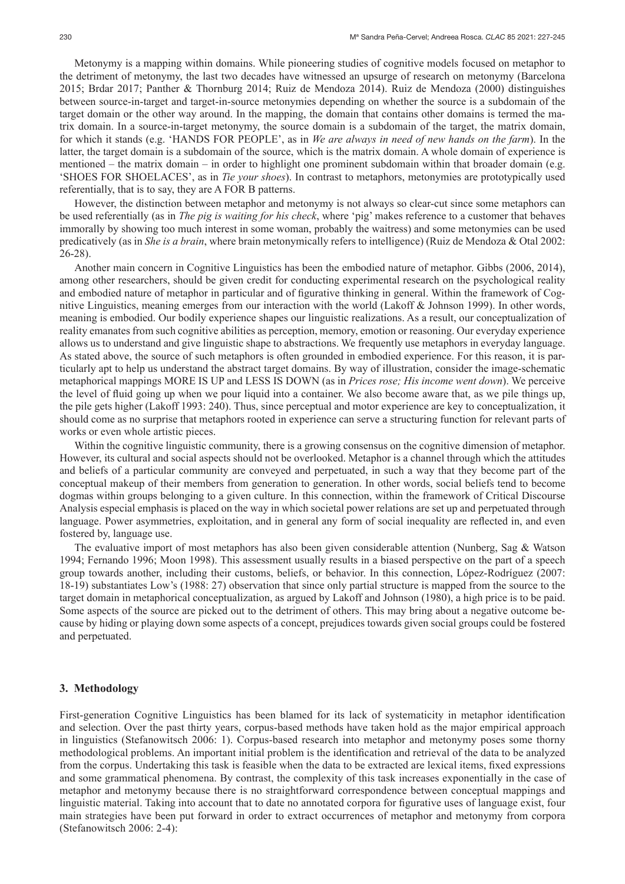Metonymy is a mapping within domains. While pioneering studies of cognitive models focused on metaphor to the detriment of metonymy, the last two decades have witnessed an upsurge of research on metonymy (Barcelona 2015; Brdar 2017; Panther & Thornburg 2014; Ruiz de Mendoza 2014). Ruiz de Mendoza (2000) distinguishes between source-in-target and target-in-source metonymies depending on whether the source is a subdomain of the target domain or the other way around. In the mapping, the domain that contains other domains is termed the matrix domain. In a source-in-target metonymy, the source domain is a subdomain of the target, the matrix domain, for which it stands (e.g. 'HANDS FOR PEOPLE', as in *We are always in need of new hands on the farm*). In the latter, the target domain is a subdomain of the source, which is the matrix domain. A whole domain of experience is mentioned – the matrix domain – in order to highlight one prominent subdomain within that broader domain (e.g. 'SHOES FOR SHOELACES', as in *Tie your shoes*). In contrast to metaphors, metonymies are prototypically used referentially, that is to say, they are A FOR B patterns.

However, the distinction between metaphor and metonymy is not always so clear-cut since some metaphors can be used referentially (as in *The pig is waiting for his check*, where 'pig' makes reference to a customer that behaves immorally by showing too much interest in some woman, probably the waitress) and some metonymies can be used predicatively (as in *She is a brain*, where brain metonymically refers to intelligence) (Ruiz de Mendoza & Otal 2002: 26-28).

Another main concern in Cognitive Linguistics has been the embodied nature of metaphor. Gibbs (2006, 2014), among other researchers, should be given credit for conducting experimental research on the psychological reality and embodied nature of metaphor in particular and of figurative thinking in general. Within the framework of Cognitive Linguistics, meaning emerges from our interaction with the world (Lakoff & Johnson 1999). In other words, meaning is embodied. Our bodily experience shapes our linguistic realizations. As a result, our conceptualization of reality emanates from such cognitive abilities as perception, memory, emotion or reasoning. Our everyday experience allows us to understand and give linguistic shape to abstractions. We frequently use metaphors in everyday language. As stated above, the source of such metaphors is often grounded in embodied experience. For this reason, it is particularly apt to help us understand the abstract target domains. By way of illustration, consider the image-schematic metaphorical mappings MORE IS UP and LESS IS DOWN (as in *Prices rose; His income went down*). We perceive the level of fluid going up when we pour liquid into a container. We also become aware that, as we pile things up, the pile gets higher (Lakoff 1993: 240). Thus, since perceptual and motor experience are key to conceptualization, it should come as no surprise that metaphors rooted in experience can serve a structuring function for relevant parts of works or even whole artistic pieces.

Within the cognitive linguistic community, there is a growing consensus on the cognitive dimension of metaphor. However, its cultural and social aspects should not be overlooked. Metaphor is a channel through which the attitudes and beliefs of a particular community are conveyed and perpetuated, in such a way that they become part of the conceptual makeup of their members from generation to generation. In other words, social beliefs tend to become dogmas within groups belonging to a given culture. In this connection, within the framework of Critical Discourse Analysis especial emphasis is placed on the way in which societal power relations are set up and perpetuated through language. Power asymmetries, exploitation, and in general any form of social inequality are reflected in, and even fostered by, language use.

The evaluative import of most metaphors has also been given considerable attention (Nunberg, Sag & Watson 1994; Fernando 1996; Moon 1998). This assessment usually results in a biased perspective on the part of a speech group towards another, including their customs, beliefs, or behavior. In this connection, López-Rodríguez (2007: 18-19) substantiates Low's (1988: 27) observation that since only partial structure is mapped from the source to the target domain in metaphorical conceptualization, as argued by Lakoff and Johnson (1980), a high price is to be paid. Some aspects of the source are picked out to the detriment of others. This may bring about a negative outcome because by hiding or playing down some aspects of a concept, prejudices towards given social groups could be fostered and perpetuated.

#### **3. Methodology**

First-generation Cognitive Linguistics has been blamed for its lack of systematicity in metaphor identification and selection. Over the past thirty years, corpus-based methods have taken hold as the major empirical approach in linguistics (Stefanowitsch 2006: 1). Corpus-based research into metaphor and metonymy poses some thorny methodological problems. An important initial problem is the identification and retrieval of the data to be analyzed from the corpus. Undertaking this task is feasible when the data to be extracted are lexical items, fixed expressions and some grammatical phenomena. By contrast, the complexity of this task increases exponentially in the case of metaphor and metonymy because there is no straightforward correspondence between conceptual mappings and linguistic material. Taking into account that to date no annotated corpora for figurative uses of language exist, four main strategies have been put forward in order to extract occurrences of metaphor and metonymy from corpora (Stefanowitsch 2006: 2-4):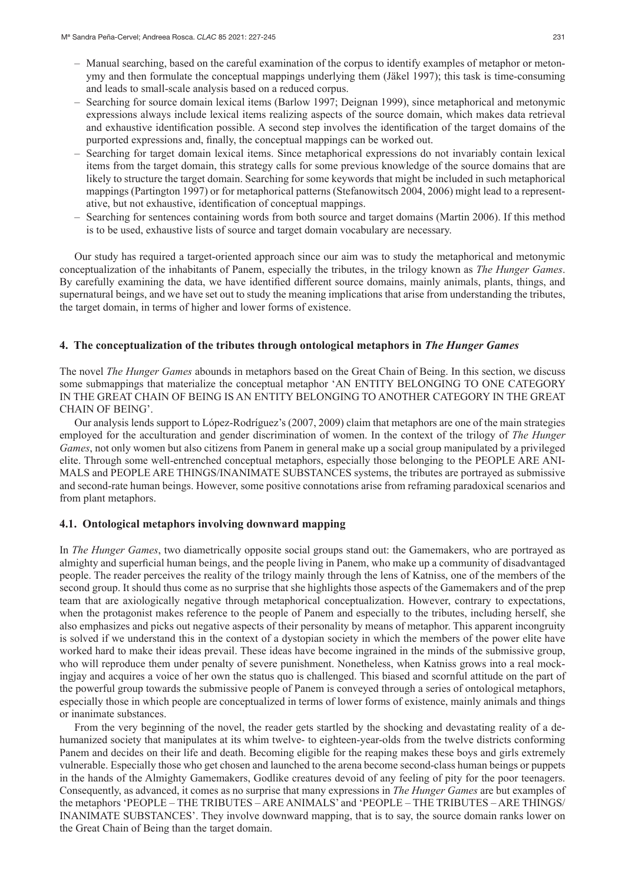- Manual searching, based on the careful examination of the corpus to identify examples of metaphor or metonymy and then formulate the conceptual mappings underlying them (Jäkel 1997); this task is time-consuming and leads to small-scale analysis based on a reduced corpus.
- Searching for source domain lexical items (Barlow 1997; Deignan 1999), since metaphorical and metonymic expressions always include lexical items realizing aspects of the source domain, which makes data retrieval and exhaustive identification possible. A second step involves the identification of the target domains of the purported expressions and, finally, the conceptual mappings can be worked out.
- Searching for target domain lexical items. Since metaphorical expressions do not invariably contain lexical items from the target domain, this strategy calls for some previous knowledge of the source domains that are likely to structure the target domain. Searching for some keywords that might be included in such metaphorical mappings (Partington 1997) or for metaphorical patterns (Stefanowitsch 2004, 2006) might lead to a representative, but not exhaustive, identification of conceptual mappings.
- Searching for sentences containing words from both source and target domains (Martin 2006). If this method is to be used, exhaustive lists of source and target domain vocabulary are necessary.

Our study has required a target-oriented approach since our aim was to study the metaphorical and metonymic conceptualization of the inhabitants of Panem, especially the tributes, in the trilogy known as *The Hunger Games*. By carefully examining the data, we have identified different source domains, mainly animals, plants, things, and supernatural beings, and we have set out to study the meaning implications that arise from understanding the tributes, the target domain, in terms of higher and lower forms of existence.

### **4. The conceptualization of the tributes through ontological metaphors in** *The Hunger Games*

The novel *The Hunger Games* abounds in metaphors based on the Great Chain of Being. In this section, we discuss some submappings that materialize the conceptual metaphor 'AN ENTITY BELONGING TO ONE CATEGORY IN THE GREAT CHAIN OF BEING IS AN ENTITY BELONGING TO ANOTHER CATEGORY IN THE GREAT CHAIN OF BEING'.

Our analysis lends support to López-Rodríguez's (2007, 2009) claim that metaphors are one of the main strategies employed for the acculturation and gender discrimination of women. In the context of the trilogy of *The Hunger Games*, not only women but also citizens from Panem in general make up a social group manipulated by a privileged elite. Through some well-entrenched conceptual metaphors, especially those belonging to the PEOPLE ARE ANI-MALS and PEOPLE ARE THINGS/INANIMATE SUBSTANCES systems, the tributes are portrayed as submissive and second-rate human beings. However, some positive connotations arise from reframing paradoxical scenarios and from plant metaphors.

### **4.1. Ontological metaphors involving downward mapping**

In *The Hunger Games*, two diametrically opposite social groups stand out: the Gamemakers, who are portrayed as almighty and superficial human beings, and the people living in Panem, who make up a community of disadvantaged people. The reader perceives the reality of the trilogy mainly through the lens of Katniss, one of the members of the second group. It should thus come as no surprise that she highlights those aspects of the Gamemakers and of the prep team that are axiologically negative through metaphorical conceptualization. However, contrary to expectations, when the protagonist makes reference to the people of Panem and especially to the tributes, including herself, she also emphasizes and picks out negative aspects of their personality by means of metaphor. This apparent incongruity is solved if we understand this in the context of a dystopian society in which the members of the power elite have worked hard to make their ideas prevail. These ideas have become ingrained in the minds of the submissive group, who will reproduce them under penalty of severe punishment. Nonetheless, when Katniss grows into a real mockingjay and acquires a voice of her own the status quo is challenged. This biased and scornful attitude on the part of the powerful group towards the submissive people of Panem is conveyed through a series of ontological metaphors, especially those in which people are conceptualized in terms of lower forms of existence, mainly animals and things or inanimate substances.

From the very beginning of the novel, the reader gets startled by the shocking and devastating reality of a dehumanized society that manipulates at its whim twelve- to eighteen-year-olds from the twelve districts conforming Panem and decides on their life and death. Becoming eligible for the reaping makes these boys and girls extremely vulnerable. Especially those who get chosen and launched to the arena become second-class human beings or puppets in the hands of the Almighty Gamemakers, Godlike creatures devoid of any feeling of pity for the poor teenagers. Consequently, as advanced, it comes as no surprise that many expressions in *The Hunger Games* are but examples of the metaphors 'PEOPLE – THE TRIBUTES – ARE ANIMALS' and 'PEOPLE – THE TRIBUTES – ARE THINGS/ INANIMATE SUBSTANCES'. They involve downward mapping, that is to say, the source domain ranks lower on the Great Chain of Being than the target domain.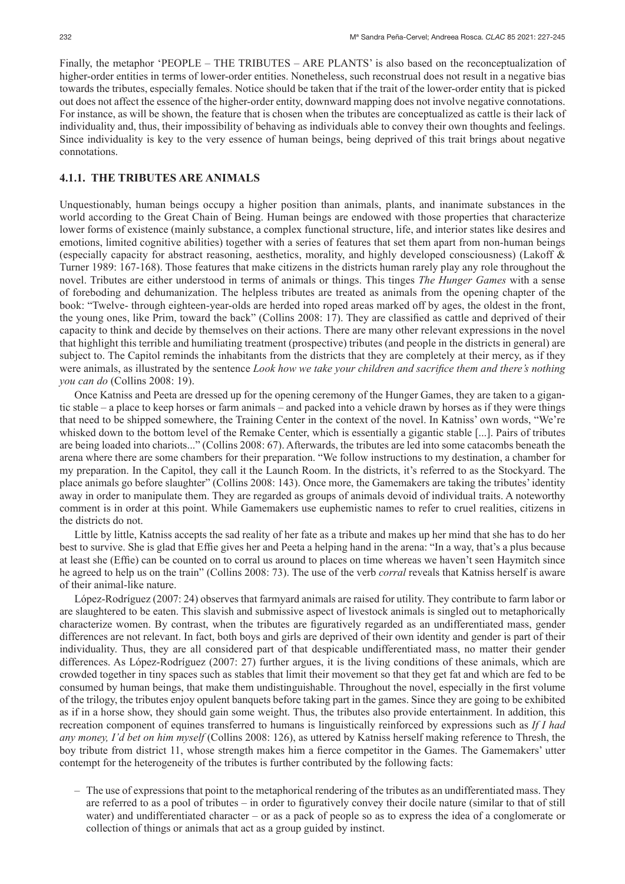Finally, the metaphor 'PEOPLE – THE TRIBUTES – ARE PLANTS' is also based on the reconceptualization of higher-order entities in terms of lower-order entities. Nonetheless, such reconstrual does not result in a negative bias towards the tributes, especially females. Notice should be taken that if the trait of the lower-order entity that is picked out does not affect the essence of the higher-order entity, downward mapping does not involve negative connotations. For instance, as will be shown, the feature that is chosen when the tributes are conceptualized as cattle is their lack of individuality and, thus, their impossibility of behaving as individuals able to convey their own thoughts and feelings. Since individuality is key to the very essence of human beings, being deprived of this trait brings about negative connotations.

## **4.1.1. THE TRIBUTES ARE ANIMALS**

Unquestionably, human beings occupy a higher position than animals, plants, and inanimate substances in the world according to the Great Chain of Being. Human beings are endowed with those properties that characterize lower forms of existence (mainly substance, a complex functional structure, life, and interior states like desires and emotions, limited cognitive abilities) together with a series of features that set them apart from non-human beings (especially capacity for abstract reasoning, aesthetics, morality, and highly developed consciousness) (Lakoff & Turner 1989: 167-168). Those features that make citizens in the districts human rarely play any role throughout the novel. Tributes are either understood in terms of animals or things. This tinges *The Hunger Games* with a sense of foreboding and dehumanization. The helpless tributes are treated as animals from the opening chapter of the book: "Twelve- through eighteen-year-olds are herded into roped areas marked off by ages, the oldest in the front, the young ones, like Prim, toward the back" (Collins 2008: 17). They are classified as cattle and deprived of their capacity to think and decide by themselves on their actions. There are many other relevant expressions in the novel that highlight this terrible and humiliating treatment (prospective) tributes (and people in the districts in general) are subject to. The Capitol reminds the inhabitants from the districts that they are completely at their mercy, as if they were animals, as illustrated by the sentence *Look how we take your children and sacrifice them and there's nothing you can do* (Collins 2008: 19).

Once Katniss and Peeta are dressed up for the opening ceremony of the Hunger Games, they are taken to a gigantic stable – a place to keep horses or farm animals – and packed into a vehicle drawn by horses as if they were things that need to be shipped somewhere, the Training Center in the context of the novel. In Katniss' own words, "We're whisked down to the bottom level of the Remake Center, which is essentially a gigantic stable [...]. Pairs of tributes are being loaded into chariots..." (Collins 2008: 67). Afterwards, the tributes are led into some catacombs beneath the arena where there are some chambers for their preparation. "We follow instructions to my destination, a chamber for my preparation. In the Capitol, they call it the Launch Room. In the districts, it's referred to as the Stockyard. The place animals go before slaughter" (Collins 2008: 143). Once more, the Gamemakers are taking the tributes' identity away in order to manipulate them. They are regarded as groups of animals devoid of individual traits. A noteworthy comment is in order at this point. While Gamemakers use euphemistic names to refer to cruel realities, citizens in the districts do not.

Little by little, Katniss accepts the sad reality of her fate as a tribute and makes up her mind that she has to do her best to survive. She is glad that Effie gives her and Peeta a helping hand in the arena: "In a way, that's a plus because at least she (Effie) can be counted on to corral us around to places on time whereas we haven't seen Haymitch since he agreed to help us on the train" (Collins 2008: 73). The use of the verb *corral* reveals that Katniss herself is aware of their animal-like nature.

López-Rodríguez (2007: 24) observes that farmyard animals are raised for utility. They contribute to farm labor or are slaughtered to be eaten. This slavish and submissive aspect of livestock animals is singled out to metaphorically characterize women. By contrast, when the tributes are figuratively regarded as an undifferentiated mass, gender differences are not relevant. In fact, both boys and girls are deprived of their own identity and gender is part of their individuality. Thus, they are all considered part of that despicable undifferentiated mass, no matter their gender differences. As López-Rodríguez (2007: 27) further argues, it is the living conditions of these animals, which are crowded together in tiny spaces such as stables that limit their movement so that they get fat and which are fed to be consumed by human beings, that make them undistinguishable. Throughout the novel, especially in the first volume of the trilogy, the tributes enjoy opulent banquets before taking part in the games. Since they are going to be exhibited as if in a horse show, they should gain some weight. Thus, the tributes also provide entertainment. In addition, this recreation component of equines transferred to humans is linguistically reinforced by expressions such as *If I had any money, I'd bet on him myself* (Collins 2008: 126), as uttered by Katniss herself making reference to Thresh, the boy tribute from district 11, whose strength makes him a fierce competitor in the Games. The Gamemakers' utter contempt for the heterogeneity of the tributes is further contributed by the following facts:

– The use of expressions that point to the metaphorical rendering of the tributes as an undifferentiated mass. They are referred to as a pool of tributes – in order to figuratively convey their docile nature (similar to that of still water) and undifferentiated character – or as a pack of people so as to express the idea of a conglomerate or collection of things or animals that act as a group guided by instinct.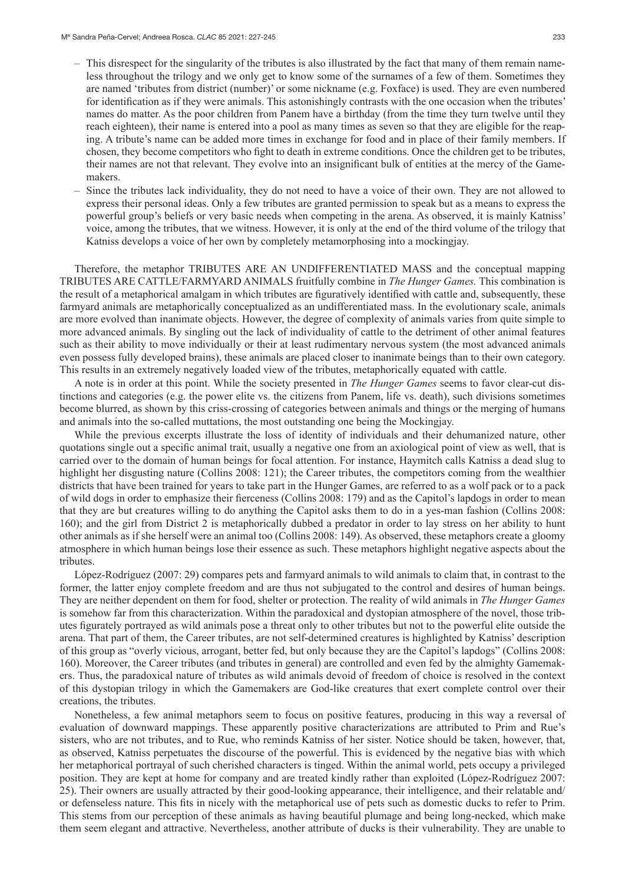- This disrespect for the singularity of the tributes is also illustrated by the fact that many of them remain nameless throughout the trilogy and we only get to know some of the surnames of a few of them. Sometimes they are named 'tributes from district (number)' or some nickname (e.g. Foxface) is used. They are even numbered for identification as if they were animals. This astonishingly contrasts with the one occasion when the tributes' names do matter. As the poor children from Panem have a birthday (from the time they turn twelve until they reach eighteen), their name is entered into a pool as many times as seven so that they are eligible for the reaping. A tribute's name can be added more times in exchange for food and in place of their family members. If chosen, they become competitors who fight to death in extreme conditions. Once the children get to be tributes, their names are not that relevant. They evolve into an insignificant bulk of entities at the mercy of the Gamemakers.
- Since the tributes lack individuality, they do not need to have a voice of their own. They are not allowed to express their personal ideas. Only a few tributes are granted permission to speak but as a means to express the powerful group's beliefs or very basic needs when competing in the arena. As observed, it is mainly Katniss' voice, among the tributes, that we witness. However, it is only at the end of the third volume of the trilogy that Katniss develops a voice of her own by completely metamorphosing into a mockingjay.

Therefore, the metaphor TRIBUTES ARE AN UNDIFFERENTIATED MASS and the conceptual mapping TRIBUTES ARE CATTLE/FARMYARD ANIMALS fruitfully combine in *The Hunger Games.* This combination is the result of a metaphorical amalgam in which tributes are figuratively identified with cattle and, subsequently, these farmyard animals are metaphorically conceptualized as an undifferentiated mass. In the evolutionary scale, animals are more evolved than inanimate objects. However, the degree of complexity of animals varies from quite simple to more advanced animals. By singling out the lack of individuality of cattle to the detriment of other animal features such as their ability to move individually or their at least rudimentary nervous system (the most advanced animals even possess fully developed brains), these animals are placed closer to inanimate beings than to their own category. This results in an extremely negatively loaded view of the tributes, metaphorically equated with cattle.

A note is in order at this point. While the society presented in *The Hunger Games* seems to favor clear-cut distinctions and categories (e.g. the power elite vs. the citizens from Panem, life vs. death), such divisions sometimes become blurred, as shown by this criss-crossing of categories between animals and things or the merging of humans and animals into the so-called muttations, the most outstanding one being the Mockingjay.

While the previous excerpts illustrate the loss of identity of individuals and their dehumanized nature, other quotations single out a specific animal trait, usually a negative one from an axiological point of view as well, that is carried over to the domain of human beings for focal attention. For instance, Haymitch calls Katniss a dead slug to highlight her disgusting nature (Collins 2008: 121); the Career tributes, the competitors coming from the wealthier districts that have been trained for years to take part in the Hunger Games, are referred to as a wolf pack or to a pack of wild dogs in order to emphasize their fierceness (Collins 2008: 179) and as the Capitol's lapdogs in order to mean that they are but creatures willing to do anything the Capitol asks them to do in a yes-man fashion (Collins 2008: 160); and the girl from District 2 is metaphorically dubbed a predator in order to lay stress on her ability to hunt other animals as if she herself were an animal too (Collins 2008: 149). As observed, these metaphors create a gloomy atmosphere in which human beings lose their essence as such. These metaphors highlight negative aspects about the tributes.

López-Rodríguez (2007: 29) compares pets and farmyard animals to wild animals to claim that, in contrast to the former, the latter enjoy complete freedom and are thus not subjugated to the control and desires of human beings. They are neither dependent on them for food, shelter or protection. The reality of wild animals in *The Hunger Games* is somehow far from this characterization. Within the paradoxical and dystopian atmosphere of the novel, those tributes figurately portrayed as wild animals pose a threat only to other tributes but not to the powerful elite outside the arena. That part of them, the Career tributes, are not self-determined creatures is highlighted by Katniss' description of this group as "overly vicious, arrogant, better fed, but only because they are the Capitol's lapdogs" (Collins 2008: 160). Moreover, the Career tributes (and tributes in general) are controlled and even fed by the almighty Gamemakers. Thus, the paradoxical nature of tributes as wild animals devoid of freedom of choice is resolved in the context of this dystopian trilogy in which the Gamemakers are God-like creatures that exert complete control over their creations, the tributes.

Nonetheless, a few animal metaphors seem to focus on positive features, producing in this way a reversal of evaluation of downward mappings. These apparently positive characterizations are attributed to Prim and Rue's sisters, who are not tributes, and to Rue, who reminds Katniss of her sister. Notice should be taken, however, that, as observed, Katniss perpetuates the discourse of the powerful. This is evidenced by the negative bias with which her metaphorical portrayal of such cherished characters is tinged. Within the animal world, pets occupy a privileged position. They are kept at home for company and are treated kindly rather than exploited (López-Rodríguez 2007: 25). Their owners are usually attracted by their good-looking appearance, their intelligence, and their relatable and/ or defenseless nature. This fits in nicely with the metaphorical use of pets such as domestic ducks to refer to Prim. This stems from our perception of these animals as having beautiful plumage and being long-necked, which make them seem elegant and attractive. Nevertheless, another attribute of ducks is their vulnerability. They are unable to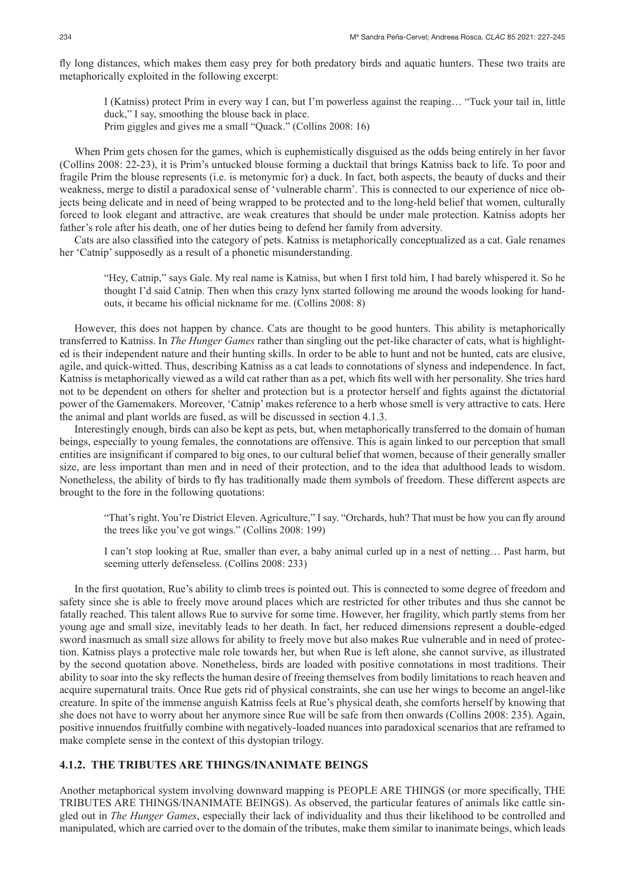fly long distances, which makes them easy prey for both predatory birds and aquatic hunters. These two traits are metaphorically exploited in the following excerpt:

I (Katniss) protect Prim in every way I can, but I'm powerless against the reaping… "Tuck your tail in, little duck," I say, smoothing the blouse back in place.

Prim giggles and gives me a small "Quack." (Collins 2008: 16)

When Prim gets chosen for the games, which is euphemistically disguised as the odds being entirely in her favor (Collins 2008: 22-23), it is Prim's untucked blouse forming a ducktail that brings Katniss back to life. To poor and fragile Prim the blouse represents (i.e. is metonymic for) a duck. In fact, both aspects, the beauty of ducks and their weakness, merge to distil a paradoxical sense of 'vulnerable charm'. This is connected to our experience of nice objects being delicate and in need of being wrapped to be protected and to the long-held belief that women, culturally forced to look elegant and attractive, are weak creatures that should be under male protection. Katniss adopts her father's role after his death, one of her duties being to defend her family from adversity.

Cats are also classified into the category of pets. Katniss is metaphorically conceptualized as a cat. Gale renames her 'Catnip' supposedly as a result of a phonetic misunderstanding.

"Hey, Catnip," says Gale. My real name is Katniss, but when I first told him, I had barely whispered it. So he thought I'd said Catnip. Then when this crazy lynx started following me around the woods looking for handouts, it became his official nickname for me. (Collins 2008: 8)

However, this does not happen by chance. Cats are thought to be good hunters. This ability is metaphorically transferred to Katniss. In *The Hunger Games* rather than singling out the pet-like character of cats, what is highlighted is their independent nature and their hunting skills. In order to be able to hunt and not be hunted, cats are elusive, agile, and quick-witted. Thus, describing Katniss as a cat leads to connotations of slyness and independence. In fact, Katniss is metaphorically viewed as a wild cat rather than as a pet, which fits well with her personality. She tries hard not to be dependent on others for shelter and protection but is a protector herself and fights against the dictatorial power of the Gamemakers. Moreover, 'Catnip' makes reference to a herb whose smell is very attractive to cats. Here the animal and plant worlds are fused, as will be discussed in section 4.1.3.

Interestingly enough, birds can also be kept as pets, but, when metaphorically transferred to the domain of human beings, especially to young females, the connotations are offensive. This is again linked to our perception that small entities are insignificant if compared to big ones, to our cultural belief that women, because of their generally smaller size, are less important than men and in need of their protection, and to the idea that adulthood leads to wisdom. Nonetheless, the ability of birds to fly has traditionally made them symbols of freedom. These different aspects are brought to the fore in the following quotations:

"That's right. You're District Eleven. Agriculture," I say. "Orchards, huh? That must be how you can fly around the trees like you've got wings." (Collins 2008: 199)

I can't stop looking at Rue, smaller than ever, a baby animal curled up in a nest of netting… Past harm, but seeming utterly defenseless. (Collins 2008: 233)

In the first quotation, Rue's ability to climb trees is pointed out. This is connected to some degree of freedom and safety since she is able to freely move around places which are restricted for other tributes and thus she cannot be fatally reached. This talent allows Rue to survive for some time. However, her fragility, which partly stems from her young age and small size, inevitably leads to her death. In fact, her reduced dimensions represent a double-edged sword inasmuch as small size allows for ability to freely move but also makes Rue vulnerable and in need of protection. Katniss plays a protective male role towards her, but when Rue is left alone, she cannot survive, as illustrated by the second quotation above. Nonetheless, birds are loaded with positive connotations in most traditions. Their ability to soar into the sky reflects the human desire of freeing themselves from bodily limitations to reach heaven and acquire supernatural traits. Once Rue gets rid of physical constraints, she can use her wings to become an angel-like creature. In spite of the immense anguish Katniss feels at Rue's physical death, she comforts herself by knowing that she does not have to worry about her anymore since Rue will be safe from then onwards (Collins 2008: 235). Again, positive innuendos fruitfully combine with negatively-loaded nuances into paradoxical scenarios that are reframed to make complete sense in the context of this dystopian trilogy.

### **4.1.2. THE TRIBUTES ARE THINGS/INANIMATE BEINGS**

Another metaphorical system involving downward mapping is PEOPLE ARE THINGS (or more specifically, THE TRIBUTES ARE THINGS/INANIMATE BEINGS). As observed, the particular features of animals like cattle singled out in *The Hunger Games*, especially their lack of individuality and thus their likelihood to be controlled and manipulated, which are carried over to the domain of the tributes, make them similar to inanimate beings, which leads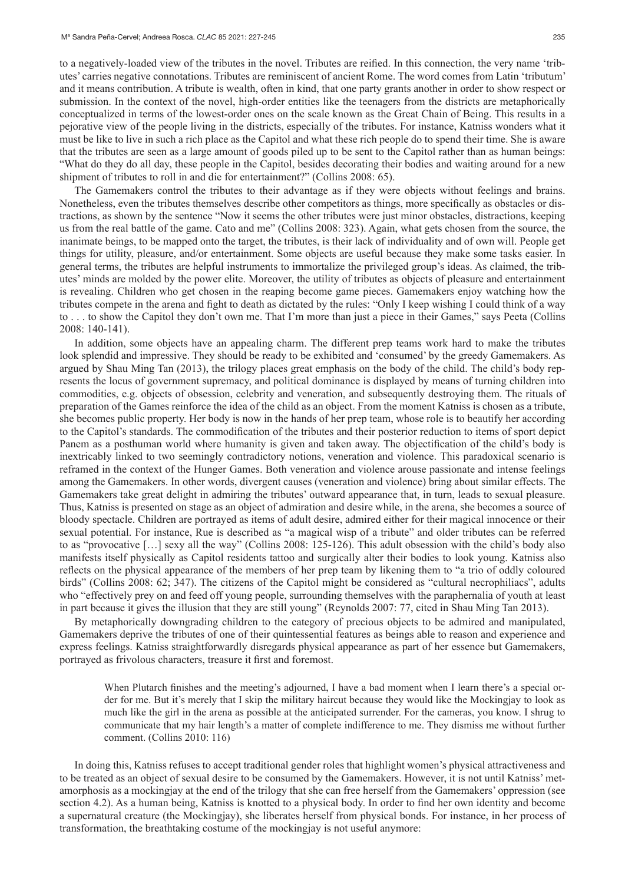to a negatively-loaded view of the tributes in the novel. Tributes are reified. In this connection, the very name 'tributes' carries negative connotations. Tributes are reminiscent of ancient Rome. The word comes from Latin 'tributum' and it means contribution. A tribute is wealth, often in kind, that one party grants another in order to show respect or submission. In the context of the novel, high-order entities like the teenagers from the districts are metaphorically conceptualized in terms of the lowest-order ones on the scale known as the Great Chain of Being. This results in a pejorative view of the people living in the districts, especially of the tributes. For instance, Katniss wonders what it must be like to live in such a rich place as the Capitol and what these rich people do to spend their time. She is aware that the tributes are seen as a large amount of goods piled up to be sent to the Capitol rather than as human beings: "What do they do all day, these people in the Capitol, besides decorating their bodies and waiting around for a new shipment of tributes to roll in and die for entertainment?" (Collins 2008: 65).

The Gamemakers control the tributes to their advantage as if they were objects without feelings and brains. Nonetheless, even the tributes themselves describe other competitors as things, more specifically as obstacles or distractions, as shown by the sentence "Now it seems the other tributes were just minor obstacles, distractions, keeping us from the real battle of the game. Cato and me" (Collins 2008: 323). Again, what gets chosen from the source, the inanimate beings, to be mapped onto the target, the tributes, is their lack of individuality and of own will. People get things for utility, pleasure, and/or entertainment. Some objects are useful because they make some tasks easier. In general terms, the tributes are helpful instruments to immortalize the privileged group's ideas. As claimed, the tributes' minds are molded by the power elite. Moreover, the utility of tributes as objects of pleasure and entertainment is revealing. Children who get chosen in the reaping become game pieces. Gamemakers enjoy watching how the tributes compete in the arena and fight to death as dictated by the rules: "Only I keep wishing I could think of a way to . . . to show the Capitol they don't own me. That I'm more than just a piece in their Games," says Peeta (Collins 2008: 140-141).

In addition, some objects have an appealing charm. The different prep teams work hard to make the tributes look splendid and impressive. They should be ready to be exhibited and 'consumed' by the greedy Gamemakers. As argued by Shau Ming Tan (2013), the trilogy places great emphasis on the body of the child. The child's body represents the locus of government supremacy, and political dominance is displayed by means of turning children into commodities, e.g. objects of obsession, celebrity and veneration, and subsequently destroying them. The rituals of preparation of the Games reinforce the idea of the child as an object. From the moment Katniss is chosen as a tribute, she becomes public property. Her body is now in the hands of her prep team, whose role is to beautify her according to the Capitol's standards. The commodification of the tributes and their posterior reduction to items of sport depict Panem as a posthuman world where humanity is given and taken away. The objectification of the child's body is inextricably linked to two seemingly contradictory notions, veneration and violence. This paradoxical scenario is reframed in the context of the Hunger Games. Both veneration and violence arouse passionate and intense feelings among the Gamemakers. In other words, divergent causes (veneration and violence) bring about similar effects. The Gamemakers take great delight in admiring the tributes' outward appearance that, in turn, leads to sexual pleasure. Thus, Katniss is presented on stage as an object of admiration and desire while, in the arena, she becomes a source of bloody spectacle. Children are portrayed as items of adult desire, admired either for their magical innocence or their sexual potential. For instance, Rue is described as "a magical wisp of a tribute" and older tributes can be referred to as "provocative […] sexy all the way" (Collins 2008: 125-126). This adult obsession with the child's body also manifests itself physically as Capitol residents tattoo and surgically alter their bodies to look young. Katniss also reflects on the physical appearance of the members of her prep team by likening them to "a trio of oddly coloured birds" (Collins 2008: 62; 347). The citizens of the Capitol might be considered as "cultural necrophiliacs", adults who "effectively prey on and feed off young people, surrounding themselves with the paraphernalia of youth at least in part because it gives the illusion that they are still young" (Reynolds 2007: 77, cited in Shau Ming Tan 2013).

By metaphorically downgrading children to the category of precious objects to be admired and manipulated, Gamemakers deprive the tributes of one of their quintessential features as beings able to reason and experience and express feelings. Katniss straightforwardly disregards physical appearance as part of her essence but Gamemakers, portrayed as frivolous characters, treasure it first and foremost.

When Plutarch finishes and the meeting's adjourned, I have a bad moment when I learn there's a special order for me. But it's merely that I skip the military haircut because they would like the Mockingjay to look as much like the girl in the arena as possible at the anticipated surrender. For the cameras, you know. I shrug to communicate that my hair length's a matter of complete indifference to me. They dismiss me without further comment. (Collins 2010: 116)

In doing this, Katniss refuses to accept traditional gender roles that highlight women's physical attractiveness and to be treated as an object of sexual desire to be consumed by the Gamemakers. However, it is not until Katniss' metamorphosis as a mockingjay at the end of the trilogy that she can free herself from the Gamemakers' oppression (see section 4.2). As a human being, Katniss is knotted to a physical body. In order to find her own identity and become a supernatural creature (the Mockingjay), she liberates herself from physical bonds. For instance, in her process of transformation, the breathtaking costume of the mockingjay is not useful anymore: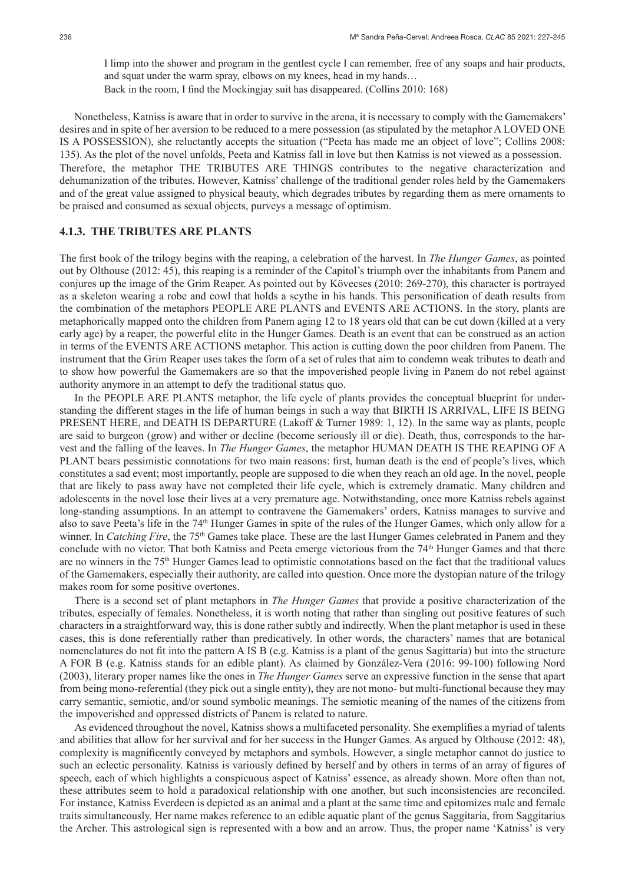I limp into the shower and program in the gentlest cycle I can remember, free of any soaps and hair products, and squat under the warm spray, elbows on my knees, head in my hands… Back in the room, I find the Mockingjay suit has disappeared. (Collins 2010: 168)

Nonetheless, Katniss is aware that in order to survive in the arena, it is necessary to comply with the Gamemakers' desires and in spite of her aversion to be reduced to a mere possession (as stipulated by the metaphor A LOVED ONE IS A POSSESSION), she reluctantly accepts the situation ("Peeta has made me an object of love"; Collins 2008: 135). As the plot of the novel unfolds, Peeta and Katniss fall in love but then Katniss is not viewed as a possession. Therefore, the metaphor THE TRIBUTES ARE THINGS contributes to the negative characterization and dehumanization of the tributes. However, Katniss' challenge of the traditional gender roles held by the Gamemakers and of the great value assigned to physical beauty, which degrades tributes by regarding them as mere ornaments to be praised and consumed as sexual objects, purveys a message of optimism.

### **4.1.3. THE TRIBUTES ARE PLANTS**

The first book of the trilogy begins with the reaping, a celebration of the harvest. In *The Hunger Games*, as pointed out by Olthouse (2012: 45), this reaping is a reminder of the Capitol's triumph over the inhabitants from Panem and conjures up the image of the Grim Reaper. As pointed out by Kövecses (2010: 269-270), this character is portrayed as a skeleton wearing a robe and cowl that holds a scythe in his hands. This personification of death results from the combination of the metaphors PEOPLE ARE PLANTS and EVENTS ARE ACTIONS. In the story, plants are metaphorically mapped onto the children from Panem aging 12 to 18 years old that can be cut down (killed at a very early age) by a reaper, the powerful elite in the Hunger Games. Death is an event that can be construed as an action in terms of the EVENTS ARE ACTIONS metaphor. This action is cutting down the poor children from Panem. The instrument that the Grim Reaper uses takes the form of a set of rules that aim to condemn weak tributes to death and to show how powerful the Gamemakers are so that the impoverished people living in Panem do not rebel against authority anymore in an attempt to defy the traditional status quo.

In the PEOPLE ARE PLANTS metaphor, the life cycle of plants provides the conceptual blueprint for understanding the different stages in the life of human beings in such a way that BIRTH IS ARRIVAL, LIFE IS BEING PRESENT HERE, and DEATH IS DEPARTURE (Lakoff & Turner 1989: 1, 12). In the same way as plants, people are said to burgeon (grow) and wither or decline (become seriously ill or die). Death, thus, corresponds to the harvest and the falling of the leaves. In *The Hunger Games*, the metaphor HUMAN DEATH IS THE REAPING OF A PLANT bears pessimistic connotations for two main reasons: first, human death is the end of people's lives, which constitutes a sad event; most importantly, people are supposed to die when they reach an old age. In the novel, people that are likely to pass away have not completed their life cycle, which is extremely dramatic. Many children and adolescents in the novel lose their lives at a very premature age. Notwithstanding, once more Katniss rebels against long-standing assumptions. In an attempt to contravene the Gamemakers' orders, Katniss manages to survive and also to save Peeta's life in the 74<sup>th</sup> Hunger Games in spite of the rules of the Hunger Games, which only allow for a winner. In *Catching Fire*, the 75<sup>th</sup> Games take place. These are the last Hunger Games celebrated in Panem and they conclude with no victor. That both Katniss and Peeta emerge victorious from the 74<sup>th</sup> Hunger Games and that there are no winners in the 75th Hunger Games lead to optimistic connotations based on the fact that the traditional values of the Gamemakers, especially their authority, are called into question. Once more the dystopian nature of the trilogy makes room for some positive overtones.

There is a second set of plant metaphors in *The Hunger Games* that provide a positive characterization of the tributes, especially of females. Nonetheless, it is worth noting that rather than singling out positive features of such characters in a straightforward way, this is done rather subtly and indirectly. When the plant metaphor is used in these cases, this is done referentially rather than predicatively. In other words, the characters' names that are botanical nomenclatures do not fit into the pattern A IS B (e.g. Katniss is a plant of the genus Sagittaria) but into the structure A FOR B (e.g. Katniss stands for an edible plant). As claimed by González-Vera (2016: 99-100) following Nord (2003), literary proper names like the ones in *The Hunger Games* serve an expressive function in the sense that apart from being mono-referential (they pick out a single entity), they are not mono- but multi-functional because they may carry semantic, semiotic, and/or sound symbolic meanings. The semiotic meaning of the names of the citizens from the impoverished and oppressed districts of Panem is related to nature.

As evidenced throughout the novel, Katniss shows a multifaceted personality. She exemplifies a myriad of talents and abilities that allow for her survival and for her success in the Hunger Games. As argued by Olthouse (2012: 48), complexity is magnificently conveyed by metaphors and symbols. However, a single metaphor cannot do justice to such an eclectic personality. Katniss is variously defined by herself and by others in terms of an array of figures of speech, each of which highlights a conspicuous aspect of Katniss' essence, as already shown. More often than not, these attributes seem to hold a paradoxical relationship with one another, but such inconsistencies are reconciled. For instance, Katniss Everdeen is depicted as an animal and a plant at the same time and epitomizes male and female traits simultaneously. Her name makes reference to an edible aquatic plant of the genus Saggitaria, from Saggitarius the Archer. This astrological sign is represented with a bow and an arrow. Thus, the proper name 'Katniss' is very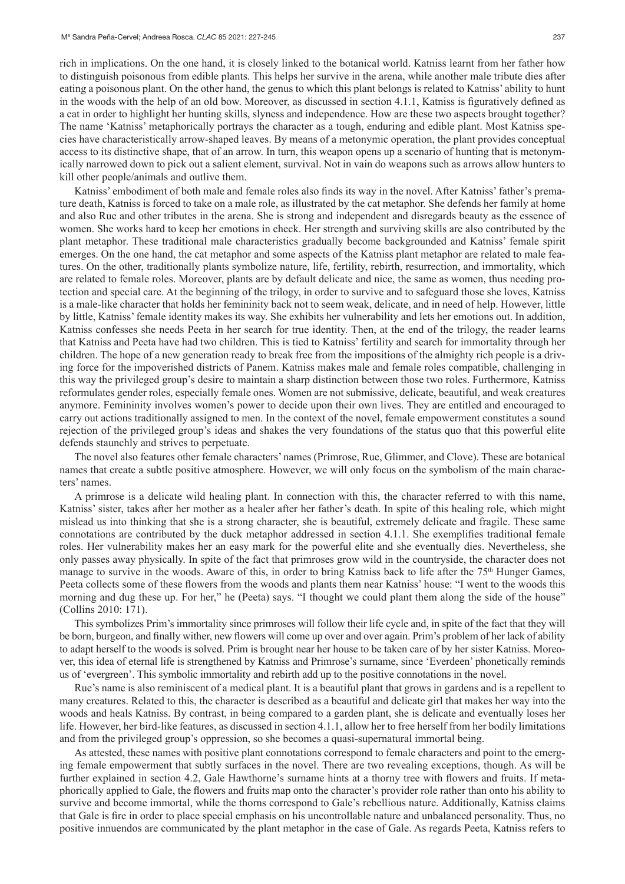rich in implications. On the one hand, it is closely linked to the botanical world. Katniss learnt from her father how to distinguish poisonous from edible plants. This helps her survive in the arena, while another male tribute dies after eating a poisonous plant. On the other hand, the genus to which this plant belongs is related to Katniss' ability to hunt in the woods with the help of an old bow. Moreover, as discussed in section 4.1.1, Katniss is figuratively defined as a cat in order to highlight her hunting skills, slyness and independence. How are these two aspects brought together? The name 'Katniss' metaphorically portrays the character as a tough, enduring and edible plant. Most Katniss species have characteristically arrow-shaped leaves. By means of a metonymic operation, the plant provides conceptual access to its distinctive shape, that of an arrow. In turn, this weapon opens up a scenario of hunting that is metonymically narrowed down to pick out a salient element, survival. Not in vain do weapons such as arrows allow hunters to kill other people/animals and outlive them.

Katniss' embodiment of both male and female roles also finds its way in the novel. After Katniss' father's premature death, Katniss is forced to take on a male role, as illustrated by the cat metaphor. She defends her family at home and also Rue and other tributes in the arena. She is strong and independent and disregards beauty as the essence of women. She works hard to keep her emotions in check. Her strength and surviving skills are also contributed by the plant metaphor. These traditional male characteristics gradually become backgrounded and Katniss' female spirit emerges. On the one hand, the cat metaphor and some aspects of the Katniss plant metaphor are related to male features. On the other, traditionally plants symbolize nature, life, fertility, rebirth, resurrection, and immortality, which are related to female roles. Moreover, plants are by default delicate and nice, the same as women, thus needing protection and special care. At the beginning of the trilogy, in order to survive and to safeguard those she loves, Katniss is a male-like character that holds her femininity back not to seem weak, delicate, and in need of help. However, little by little, Katniss' female identity makes its way. She exhibits her vulnerability and lets her emotions out. In addition, Katniss confesses she needs Peeta in her search for true identity. Then, at the end of the trilogy, the reader learns that Katniss and Peeta have had two children. This is tied to Katniss' fertility and search for immortality through her children. The hope of a new generation ready to break free from the impositions of the almighty rich people is a driving force for the impoverished districts of Panem. Katniss makes male and female roles compatible, challenging in this way the privileged group's desire to maintain a sharp distinction between those two roles. Furthermore, Katniss reformulates gender roles, especially female ones. Women are not submissive, delicate, beautiful, and weak creatures anymore. Femininity involves women's power to decide upon their own lives. They are entitled and encouraged to carry out actions traditionally assigned to men. In the context of the novel, female empowerment constitutes a sound rejection of the privileged group's ideas and shakes the very foundations of the status quo that this powerful elite defends staunchly and strives to perpetuate.

The novel also features other female characters' names (Primrose, Rue, Glimmer, and Clove). These are botanical names that create a subtle positive atmosphere. However, we will only focus on the symbolism of the main characters' names.

A primrose is a delicate wild healing plant. In connection with this, the character referred to with this name, Katniss' sister, takes after her mother as a healer after her father's death. In spite of this healing role, which might mislead us into thinking that she is a strong character, she is beautiful, extremely delicate and fragile. These same connotations are contributed by the duck metaphor addressed in section 4.1.1. She exemplifies traditional female roles. Her vulnerability makes her an easy mark for the powerful elite and she eventually dies. Nevertheless, she only passes away physically. In spite of the fact that primroses grow wild in the countryside, the character does not manage to survive in the woods. Aware of this, in order to bring Katniss back to life after the 75<sup>th</sup> Hunger Games, Peeta collects some of these flowers from the woods and plants them near Katniss' house: "I went to the woods this morning and dug these up. For her," he (Peeta) says. "I thought we could plant them along the side of the house" (Collins 2010: 171).

This symbolizes Prim's immortality since primroses will follow their life cycle and, in spite of the fact that they will be born, burgeon, and finally wither, new flowers will come up over and over again. Prim's problem of her lack of ability to adapt herself to the woods is solved. Prim is brought near her house to be taken care of by her sister Katniss. Moreover, this idea of eternal life is strengthened by Katniss and Primrose's surname, since 'Everdeen' phonetically reminds us of 'evergreen'. This symbolic immortality and rebirth add up to the positive connotations in the novel.

Rue's name is also reminiscent of a medical plant. It is a beautiful plant that grows in gardens and is a repellent to many creatures. Related to this, the character is described as a beautiful and delicate girl that makes her way into the woods and heals Katniss. By contrast, in being compared to a garden plant, she is delicate and eventually loses her life. However, her bird-like features, as discussed in section 4.1.1, allow her to free herself from her bodily limitations and from the privileged group's oppression, so she becomes a quasi-supernatural immortal being.

As attested, these names with positive plant connotations correspond to female characters and point to the emerging female empowerment that subtly surfaces in the novel. There are two revealing exceptions, though. As will be further explained in section 4.2, Gale Hawthorne's surname hints at a thorny tree with flowers and fruits. If metaphorically applied to Gale, the flowers and fruits map onto the character's provider role rather than onto his ability to survive and become immortal, while the thorns correspond to Gale's rebellious nature. Additionally, Katniss claims that Gale is fire in order to place special emphasis on his uncontrollable nature and unbalanced personality. Thus, no positive innuendos are communicated by the plant metaphor in the case of Gale. As regards Peeta, Katniss refers to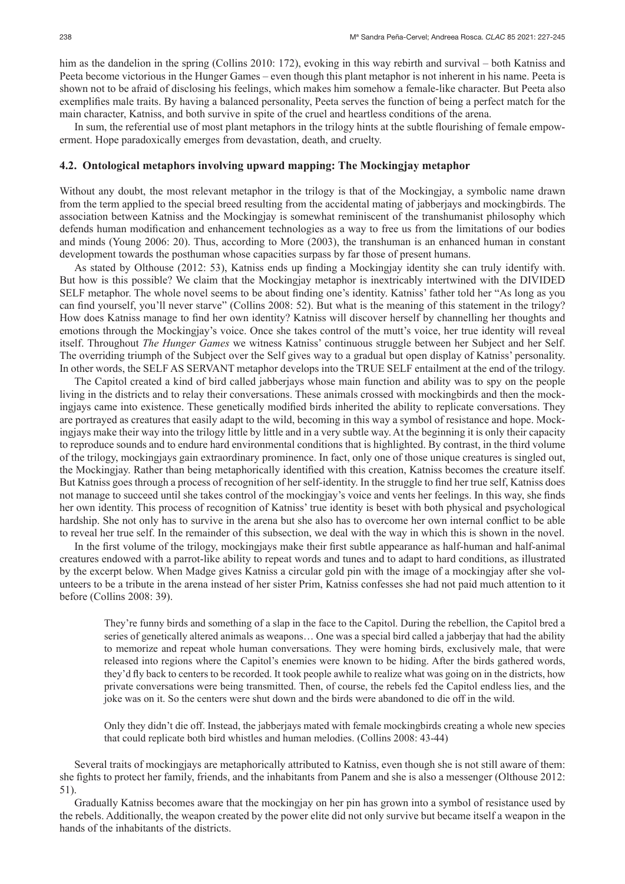him as the dandelion in the spring (Collins 2010: 172), evoking in this way rebirth and survival – both Katniss and Peeta become victorious in the Hunger Games – even though this plant metaphor is not inherent in his name. Peeta is shown not to be afraid of disclosing his feelings, which makes him somehow a female-like character. But Peeta also exemplifies male traits. By having a balanced personality, Peeta serves the function of being a perfect match for the main character, Katniss, and both survive in spite of the cruel and heartless conditions of the arena.

In sum, the referential use of most plant metaphors in the trilogy hints at the subtle flourishing of female empowerment. Hope paradoxically emerges from devastation, death, and cruelty.

### **4.2. Ontological metaphors involving upward mapping: The Mockingjay metaphor**

Without any doubt, the most relevant metaphor in the trilogy is that of the Mockingjay, a symbolic name drawn from the term applied to the special breed resulting from the accidental mating of jabberjays and mockingbirds. The association between Katniss and the Mockingjay is somewhat reminiscent of the transhumanist philosophy which defends human modification and enhancement technologies as a way to free us from the limitations of our bodies and minds (Young 2006: 20). Thus, according to More (2003), the transhuman is an enhanced human in constant development towards the posthuman whose capacities surpass by far those of present humans.

As stated by Olthouse (2012: 53), Katniss ends up finding a Mockingjay identity she can truly identify with. But how is this possible? We claim that the Mockingjay metaphor is inextricably intertwined with the DIVIDED SELF metaphor. The whole novel seems to be about finding one's identity. Katniss' father told her "As long as you can find yourself, you'll never starve" (Collins 2008: 52). But what is the meaning of this statement in the trilogy? How does Katniss manage to find her own identity? Katniss will discover herself by channelling her thoughts and emotions through the Mockingjay's voice. Once she takes control of the mutt's voice, her true identity will reveal itself. Throughout *The Hunger Games* we witness Katniss' continuous struggle between her Subject and her Self. The overriding triumph of the Subject over the Self gives way to a gradual but open display of Katniss' personality. In other words, the SELF AS SERVANT metaphor develops into the TRUE SELF entailment at the end of the trilogy.

The Capitol created a kind of bird called jabberjays whose main function and ability was to spy on the people living in the districts and to relay their conversations. These animals crossed with mockingbirds and then the mockingjays came into existence. These genetically modified birds inherited the ability to replicate conversations. They are portrayed as creatures that easily adapt to the wild, becoming in this way a symbol of resistance and hope. Mockingjays make their way into the trilogy little by little and in a very subtle way. At the beginning it is only their capacity to reproduce sounds and to endure hard environmental conditions that is highlighted. By contrast, in the third volume of the trilogy, mockingjays gain extraordinary prominence. In fact, only one of those unique creatures is singled out, the Mockingjay. Rather than being metaphorically identified with this creation, Katniss becomes the creature itself. But Katniss goes through a process of recognition of her self-identity. In the struggle to find her true self, Katniss does not manage to succeed until she takes control of the mockingjay's voice and vents her feelings. In this way, she finds her own identity. This process of recognition of Katniss' true identity is beset with both physical and psychological hardship. She not only has to survive in the arena but she also has to overcome her own internal conflict to be able to reveal her true self. In the remainder of this subsection, we deal with the way in which this is shown in the novel.

In the first volume of the trilogy, mockingjays make their first subtle appearance as half-human and half-animal creatures endowed with a parrot-like ability to repeat words and tunes and to adapt to hard conditions, as illustrated by the excerpt below. When Madge gives Katniss a circular gold pin with the image of a mockingjay after she volunteers to be a tribute in the arena instead of her sister Prim, Katniss confesses she had not paid much attention to it before (Collins 2008: 39).

They're funny birds and something of a slap in the face to the Capitol. During the rebellion, the Capitol bred a series of genetically altered animals as weapons… One was a special bird called a jabberjay that had the ability to memorize and repeat whole human conversations. They were homing birds, exclusively male, that were released into regions where the Capitol's enemies were known to be hiding. After the birds gathered words, they'd fly back to centers to be recorded. It took people awhile to realize what was going on in the districts, how private conversations were being transmitted. Then, of course, the rebels fed the Capitol endless lies, and the joke was on it. So the centers were shut down and the birds were abandoned to die off in the wild.

Only they didn't die off. Instead, the jabberjays mated with female mockingbirds creating a whole new species that could replicate both bird whistles and human melodies. (Collins 2008: 43-44)

Several traits of mockingjays are metaphorically attributed to Katniss, even though she is not still aware of them: she fights to protect her family, friends, and the inhabitants from Panem and she is also a messenger (Olthouse 2012: 51).

Gradually Katniss becomes aware that the mockingjay on her pin has grown into a symbol of resistance used by the rebels. Additionally, the weapon created by the power elite did not only survive but became itself a weapon in the hands of the inhabitants of the districts.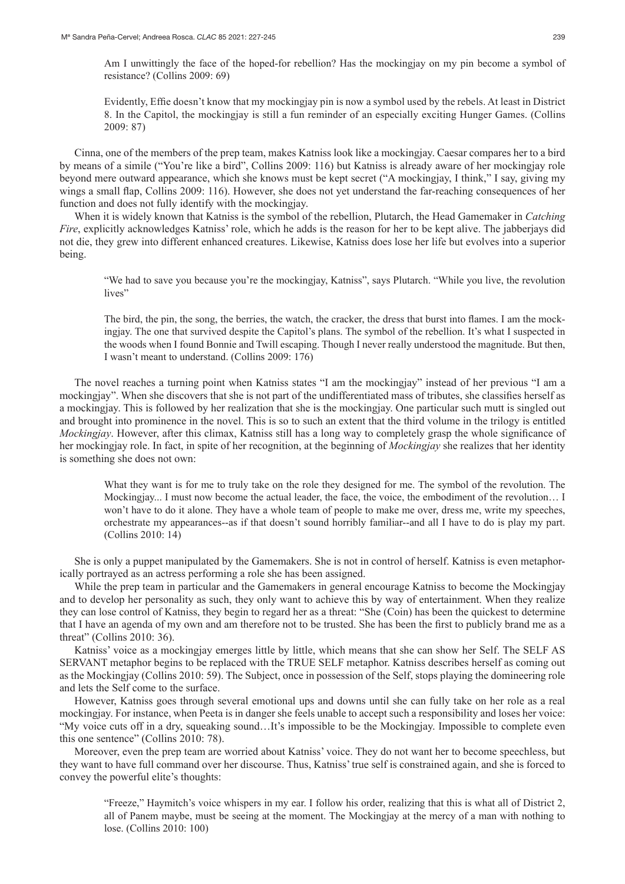Am I unwittingly the face of the hoped-for rebellion? Has the mockingjay on my pin become a symbol of resistance? (Collins 2009: 69)

Evidently, Effie doesn't know that my mockingjay pin is now a symbol used by the rebels. At least in District 8. In the Capitol, the mockingjay is still a fun reminder of an especially exciting Hunger Games. (Collins 2009: 87)

Cinna, one of the members of the prep team, makes Katniss look like a mockingjay. Caesar compares her to a bird by means of a simile ("You're like a bird", Collins 2009: 116) but Katniss is already aware of her mockingjay role beyond mere outward appearance, which she knows must be kept secret ("A mockingjay, I think," I say, giving my wings a small flap, Collins 2009: 116). However, she does not yet understand the far-reaching consequences of her function and does not fully identify with the mockingjay.

When it is widely known that Katniss is the symbol of the rebellion, Plutarch, the Head Gamemaker in *Catching Fire*, explicitly acknowledges Katniss' role, which he adds is the reason for her to be kept alive. The jabberjays did not die, they grew into different enhanced creatures. Likewise, Katniss does lose her life but evolves into a superior being.

"We had to save you because you're the mockingjay, Katniss", says Plutarch. "While you live, the revolution lives"

The bird, the pin, the song, the berries, the watch, the cracker, the dress that burst into flames. I am the mockingjay. The one that survived despite the Capitol's plans. The symbol of the rebellion. It's what I suspected in the woods when I found Bonnie and Twill escaping. Though I never really understood the magnitude. But then, I wasn't meant to understand. (Collins 2009: 176)

The novel reaches a turning point when Katniss states "I am the mockingjay" instead of her previous "I am a mockingjay". When she discovers that she is not part of the undifferentiated mass of tributes, she classifies herself as a mockingjay. This is followed by her realization that she is the mockingjay. One particular such mutt is singled out and brought into prominence in the novel. This is so to such an extent that the third volume in the trilogy is entitled *Mockingjay*. However, after this climax, Katniss still has a long way to completely grasp the whole significance of her mockingjay role. In fact, in spite of her recognition, at the beginning of *Mockingjay* she realizes that her identity is something she does not own:

What they want is for me to truly take on the role they designed for me. The symbol of the revolution. The Mockingjay... I must now become the actual leader, the face, the voice, the embodiment of the revolution... I won't have to do it alone. They have a whole team of people to make me over, dress me, write my speeches, orchestrate my appearances--as if that doesn't sound horribly familiar--and all I have to do is play my part. (Collins 2010: 14)

She is only a puppet manipulated by the Gamemakers. She is not in control of herself. Katniss is even metaphorically portrayed as an actress performing a role she has been assigned.

While the prep team in particular and the Gamemakers in general encourage Katniss to become the Mockingjay and to develop her personality as such, they only want to achieve this by way of entertainment. When they realize they can lose control of Katniss, they begin to regard her as a threat: "She (Coin) has been the quickest to determine that I have an agenda of my own and am therefore not to be trusted. She has been the first to publicly brand me as a threat" (Collins 2010: 36).

Katniss' voice as a mockingjay emerges little by little, which means that she can show her Self. The SELF AS SERVANT metaphor begins to be replaced with the TRUE SELF metaphor. Katniss describes herself as coming out as the Mockingjay (Collins 2010: 59). The Subject, once in possession of the Self, stops playing the domineering role and lets the Self come to the surface.

However, Katniss goes through several emotional ups and downs until she can fully take on her role as a real mockingjay. For instance, when Peeta is in danger she feels unable to accept such a responsibility and loses her voice: "My voice cuts off in a dry, squeaking sound…It's impossible to be the Mockingjay. Impossible to complete even this one sentence" (Collins 2010: 78).

Moreover, even the prep team are worried about Katniss' voice. They do not want her to become speechless, but they want to have full command over her discourse. Thus, Katniss' true self is constrained again, and she is forced to convey the powerful elite's thoughts:

"Freeze," Haymitch's voice whispers in my ear. I follow his order, realizing that this is what all of District 2, all of Panem maybe, must be seeing at the moment. The Mockingjay at the mercy of a man with nothing to lose. (Collins 2010: 100)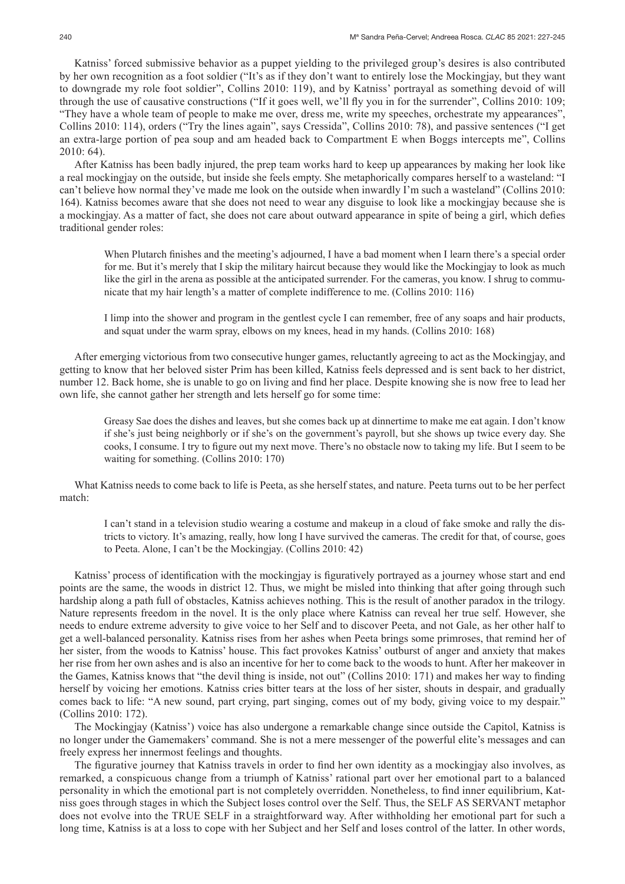Katniss' forced submissive behavior as a puppet yielding to the privileged group's desires is also contributed by her own recognition as a foot soldier ("It's as if they don't want to entirely lose the Mockingjay, but they want to downgrade my role foot soldier", Collins 2010: 119), and by Katniss' portrayal as something devoid of will through the use of causative constructions ("If it goes well, we'll fly you in for the surrender", Collins 2010: 109; "They have a whole team of people to make me over, dress me, write my speeches, orchestrate my appearances", Collins 2010: 114), orders ("Try the lines again", says Cressida", Collins 2010: 78), and passive sentences ("I get an extra-large portion of pea soup and am headed back to Compartment E when Boggs intercepts me", Collins 2010: 64).

After Katniss has been badly injured, the prep team works hard to keep up appearances by making her look like a real mockingjay on the outside, but inside she feels empty. She metaphorically compares herself to a wasteland: "I can't believe how normal they've made me look on the outside when inwardly I'm such a wasteland" (Collins 2010: 164). Katniss becomes aware that she does not need to wear any disguise to look like a mockingjay because she is a mockingjay. As a matter of fact, she does not care about outward appearance in spite of being a girl, which defies traditional gender roles:

When Plutarch finishes and the meeting's adjourned, I have a bad moment when I learn there's a special order for me. But it's merely that I skip the military haircut because they would like the Mockingjay to look as much like the girl in the arena as possible at the anticipated surrender. For the cameras, you know. I shrug to communicate that my hair length's a matter of complete indifference to me. (Collins 2010: 116)

I limp into the shower and program in the gentlest cycle I can remember, free of any soaps and hair products, and squat under the warm spray, elbows on my knees, head in my hands. (Collins 2010: 168)

After emerging victorious from two consecutive hunger games, reluctantly agreeing to act as the Mockingjay, and getting to know that her beloved sister Prim has been killed, Katniss feels depressed and is sent back to her district, number 12. Back home, she is unable to go on living and find her place. Despite knowing she is now free to lead her own life, she cannot gather her strength and lets herself go for some time:

Greasy Sae does the dishes and leaves, but she comes back up at dinnertime to make me eat again. I don't know if she's just being neighborly or if she's on the government's payroll, but she shows up twice every day. She cooks, I consume. I try to figure out my next move. There's no obstacle now to taking my life. But I seem to be waiting for something. (Collins 2010: 170)

What Katniss needs to come back to life is Peeta, as she herself states, and nature. Peeta turns out to be her perfect match:

I can't stand in a television studio wearing a costume and makeup in a cloud of fake smoke and rally the districts to victory. It's amazing, really, how long I have survived the cameras. The credit for that, of course, goes to Peeta. Alone, I can't be the Mockingjay. (Collins 2010: 42)

Katniss' process of identification with the mockingjay is figuratively portrayed as a journey whose start and end points are the same, the woods in district 12. Thus, we might be misled into thinking that after going through such hardship along a path full of obstacles, Katniss achieves nothing. This is the result of another paradox in the trilogy. Nature represents freedom in the novel. It is the only place where Katniss can reveal her true self. However, she needs to endure extreme adversity to give voice to her Self and to discover Peeta, and not Gale, as her other half to get a well-balanced personality. Katniss rises from her ashes when Peeta brings some primroses, that remind her of her sister, from the woods to Katniss' house. This fact provokes Katniss' outburst of anger and anxiety that makes her rise from her own ashes and is also an incentive for her to come back to the woods to hunt. After her makeover in the Games, Katniss knows that "the devil thing is inside, not out" (Collins 2010: 171) and makes her way to finding herself by voicing her emotions. Katniss cries bitter tears at the loss of her sister, shouts in despair, and gradually comes back to life: "A new sound, part crying, part singing, comes out of my body, giving voice to my despair." (Collins 2010: 172).

The Mockingjay (Katniss') voice has also undergone a remarkable change since outside the Capitol, Katniss is no longer under the Gamemakers' command. She is not a mere messenger of the powerful elite's messages and can freely express her innermost feelings and thoughts.

The figurative journey that Katniss travels in order to find her own identity as a mockingjay also involves, as remarked, a conspicuous change from a triumph of Katniss' rational part over her emotional part to a balanced personality in which the emotional part is not completely overridden. Nonetheless, to find inner equilibrium, Katniss goes through stages in which the Subject loses control over the Self. Thus, the SELF AS SERVANT metaphor does not evolve into the TRUE SELF in a straightforward way. After withholding her emotional part for such a long time, Katniss is at a loss to cope with her Subject and her Self and loses control of the latter. In other words,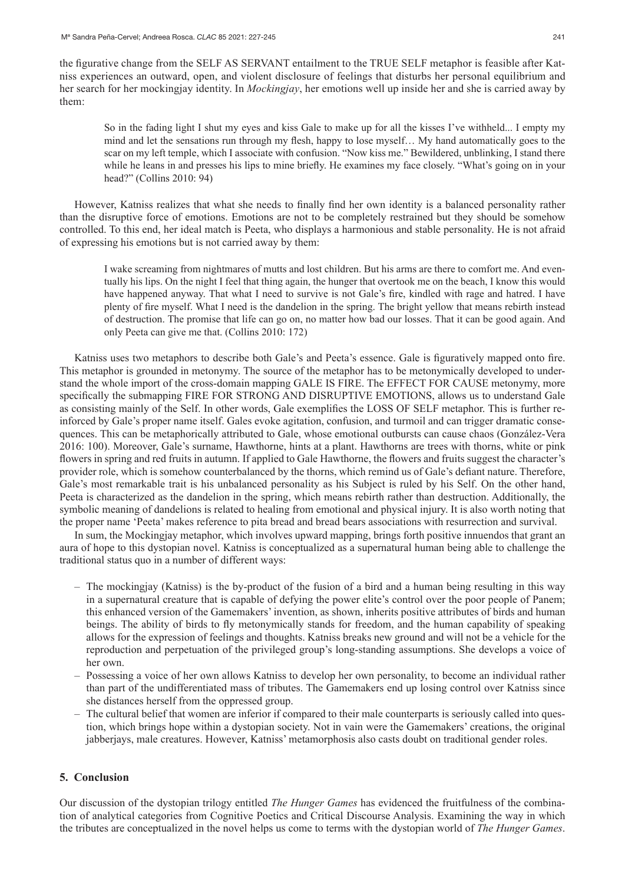the figurative change from the SELF AS SERVANT entailment to the TRUE SELF metaphor is feasible after Katniss experiences an outward, open, and violent disclosure of feelings that disturbs her personal equilibrium and her search for her mockingjay identity. In *Mockingjay*, her emotions well up inside her and she is carried away by them:

So in the fading light I shut my eyes and kiss Gale to make up for all the kisses I've withheld... I empty my mind and let the sensations run through my flesh, happy to lose myself… My hand automatically goes to the scar on my left temple, which I associate with confusion. "Now kiss me." Bewildered, unblinking, I stand there while he leans in and presses his lips to mine briefly. He examines my face closely. "What's going on in your head?" (Collins 2010: 94)

However, Katniss realizes that what she needs to finally find her own identity is a balanced personality rather than the disruptive force of emotions. Emotions are not to be completely restrained but they should be somehow controlled. To this end, her ideal match is Peeta, who displays a harmonious and stable personality. He is not afraid of expressing his emotions but is not carried away by them:

I wake screaming from nightmares of mutts and lost children. But his arms are there to comfort me. And eventually his lips. On the night I feel that thing again, the hunger that overtook me on the beach, I know this would have happened anyway. That what I need to survive is not Gale's fire, kindled with rage and hatred. I have plenty of fire myself. What I need is the dandelion in the spring. The bright yellow that means rebirth instead of destruction. The promise that life can go on, no matter how bad our losses. That it can be good again. And only Peeta can give me that. (Collins 2010: 172)

Katniss uses two metaphors to describe both Gale's and Peeta's essence. Gale is figuratively mapped onto fire. This metaphor is grounded in metonymy. The source of the metaphor has to be metonymically developed to understand the whole import of the cross-domain mapping GALE IS FIRE. The EFFECT FOR CAUSE metonymy, more specifically the submapping FIRE FOR STRONG AND DISRUPTIVE EMOTIONS, allows us to understand Gale as consisting mainly of the Self. In other words, Gale exemplifies the LOSS OF SELF metaphor. This is further reinforced by Gale's proper name itself. Gales evoke agitation, confusion, and turmoil and can trigger dramatic consequences. This can be metaphorically attributed to Gale, whose emotional outbursts can cause chaos (González-Vera 2016: 100). Moreover, Gale's surname, Hawthorne, hints at a plant. Hawthorns are trees with thorns, white or pink flowers in spring and red fruits in autumn. If applied to Gale Hawthorne, the flowers and fruits suggest the character's provider role, which is somehow counterbalanced by the thorns, which remind us of Gale's defiant nature. Therefore, Gale's most remarkable trait is his unbalanced personality as his Subject is ruled by his Self. On the other hand, Peeta is characterized as the dandelion in the spring, which means rebirth rather than destruction. Additionally, the symbolic meaning of dandelions is related to healing from emotional and physical injury. It is also worth noting that the proper name 'Peeta' makes reference to pita bread and bread bears associations with resurrection and survival.

In sum, the Mockingjay metaphor, which involves upward mapping, brings forth positive innuendos that grant an aura of hope to this dystopian novel. Katniss is conceptualized as a supernatural human being able to challenge the traditional status quo in a number of different ways:

- The mockingjay (Katniss) is the by-product of the fusion of a bird and a human being resulting in this way in a supernatural creature that is capable of defying the power elite's control over the poor people of Panem; this enhanced version of the Gamemakers' invention, as shown, inherits positive attributes of birds and human beings. The ability of birds to fly metonymically stands for freedom, and the human capability of speaking allows for the expression of feelings and thoughts. Katniss breaks new ground and will not be a vehicle for the reproduction and perpetuation of the privileged group's long-standing assumptions. She develops a voice of her own.
- Possessing a voice of her own allows Katniss to develop her own personality, to become an individual rather than part of the undifferentiated mass of tributes. The Gamemakers end up losing control over Katniss since she distances herself from the oppressed group.
- The cultural belief that women are inferior if compared to their male counterparts is seriously called into question, which brings hope within a dystopian society. Not in vain were the Gamemakers' creations, the original jabberjays, male creatures. However, Katniss' metamorphosis also casts doubt on traditional gender roles.

### **5. Conclusion**

Our discussion of the dystopian trilogy entitled *The Hunger Games* has evidenced the fruitfulness of the combination of analytical categories from Cognitive Poetics and Critical Discourse Analysis. Examining the way in which the tributes are conceptualized in the novel helps us come to terms with the dystopian world of *The Hunger Games*.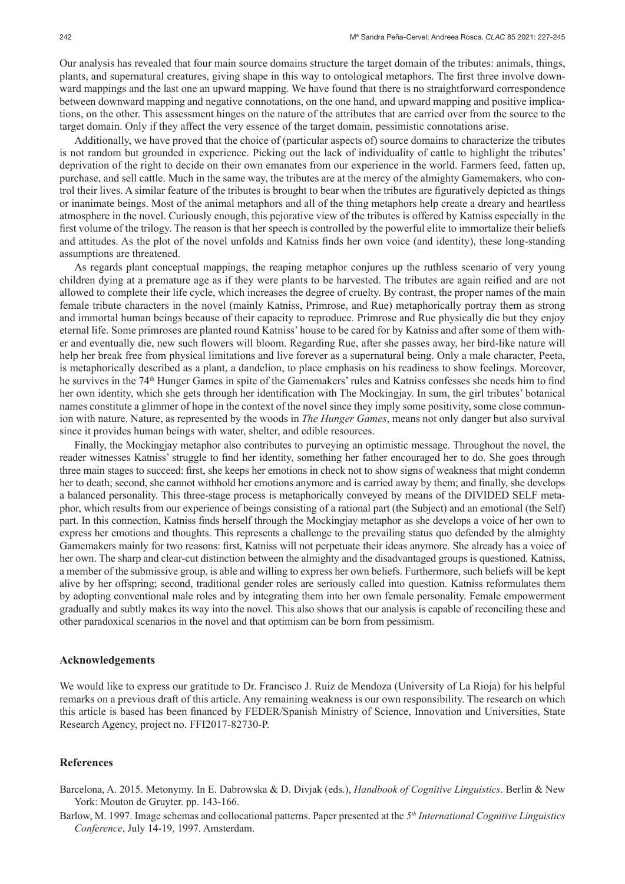Our analysis has revealed that four main source domains structure the target domain of the tributes: animals, things, plants, and supernatural creatures, giving shape in this way to ontological metaphors. The first three involve downward mappings and the last one an upward mapping. We have found that there is no straightforward correspondence between downward mapping and negative connotations, on the one hand, and upward mapping and positive implications, on the other. This assessment hinges on the nature of the attributes that are carried over from the source to the target domain. Only if they affect the very essence of the target domain, pessimistic connotations arise.

Additionally, we have proved that the choice of (particular aspects of) source domains to characterize the tributes is not random but grounded in experience. Picking out the lack of individuality of cattle to highlight the tributes' deprivation of the right to decide on their own emanates from our experience in the world. Farmers feed, fatten up, purchase, and sell cattle. Much in the same way, the tributes are at the mercy of the almighty Gamemakers, who control their lives. A similar feature of the tributes is brought to bear when the tributes are figuratively depicted as things or inanimate beings. Most of the animal metaphors and all of the thing metaphors help create a dreary and heartless atmosphere in the novel. Curiously enough, this pejorative view of the tributes is offered by Katniss especially in the first volume of the trilogy. The reason is that her speech is controlled by the powerful elite to immortalize their beliefs and attitudes. As the plot of the novel unfolds and Katniss finds her own voice (and identity), these long-standing assumptions are threatened.

As regards plant conceptual mappings, the reaping metaphor conjures up the ruthless scenario of very young children dying at a premature age as if they were plants to be harvested. The tributes are again reified and are not allowed to complete their life cycle, which increases the degree of cruelty. By contrast, the proper names of the main female tribute characters in the novel (mainly Katniss, Primrose, and Rue) metaphorically portray them as strong and immortal human beings because of their capacity to reproduce. Primrose and Rue physically die but they enjoy eternal life. Some primroses are planted round Katniss' house to be cared for by Katniss and after some of them wither and eventually die, new such flowers will bloom. Regarding Rue, after she passes away, her bird-like nature will help her break free from physical limitations and live forever as a supernatural being. Only a male character, Peeta, is metaphorically described as a plant, a dandelion, to place emphasis on his readiness to show feelings. Moreover, he survives in the 74<sup>th</sup> Hunger Games in spite of the Gamemakers' rules and Katniss confesses she needs him to find her own identity, which she gets through her identification with The Mockingjay. In sum, the girl tributes' botanical names constitute a glimmer of hope in the context of the novel since they imply some positivity, some close communion with nature. Nature, as represented by the woods in *The Hunger Games*, means not only danger but also survival since it provides human beings with water, shelter, and edible resources.

Finally, the Mockingjay metaphor also contributes to purveying an optimistic message. Throughout the novel, the reader witnesses Katniss' struggle to find her identity, something her father encouraged her to do. She goes through three main stages to succeed: first, she keeps her emotions in check not to show signs of weakness that might condemn her to death; second, she cannot withhold her emotions anymore and is carried away by them; and finally, she develops a balanced personality. This three-stage process is metaphorically conveyed by means of the DIVIDED SELF metaphor, which results from our experience of beings consisting of a rational part (the Subject) and an emotional (the Self) part. In this connection, Katniss finds herself through the Mockingjay metaphor as she develops a voice of her own to express her emotions and thoughts. This represents a challenge to the prevailing status quo defended by the almighty Gamemakers mainly for two reasons: first, Katniss will not perpetuate their ideas anymore. She already has a voice of her own. The sharp and clear-cut distinction between the almighty and the disadvantaged groups is questioned. Katniss, a member of the submissive group, is able and willing to express her own beliefs. Furthermore, such beliefs will be kept alive by her offspring; second, traditional gender roles are seriously called into question. Katniss reformulates them by adopting conventional male roles and by integrating them into her own female personality. Female empowerment gradually and subtly makes its way into the novel. This also shows that our analysis is capable of reconciling these and other paradoxical scenarios in the novel and that optimism can be born from pessimism.

### **Acknowledgements**

We would like to express our gratitude to Dr. Francisco J. Ruiz de Mendoza (University of La Rioja) for his helpful remarks on a previous draft of this article. Any remaining weakness is our own responsibility. The research on which this article is based has been financed by FEDER/Spanish Ministry of Science, Innovation and Universities, State Research Agency, project no. FFI2017-82730-P.

### **References**

Barcelona, A. 2015. Metonymy. In E. Dabrowska & D. Divjak (eds.), *Handbook of Cognitive Linguistics*. Berlin & New York: Mouton de Gruyter. pp. 143-166.

Barlow, M. 1997. Image schemas and collocational patterns. Paper presented at the *5th International Cognitive Linguistics Conference*, July 14-19, 1997. Amsterdam.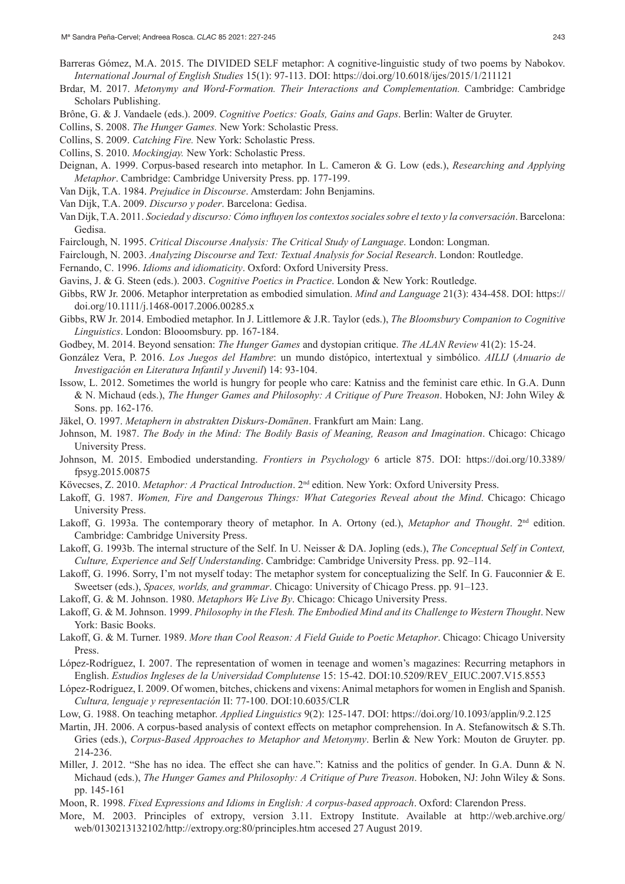- Barreras Gómez, M.A. 2015. The DIVIDED SELF metaphor: A cognitive-linguistic study of two poems by Nabokov. *International Journal of English Studies* 15(1): 97-113. DOI: https://doi.org/10.6018/ijes/2015/1/211121
- Brdar, M. 2017. *Metonymy and Word-Formation. Their Interactions and Complementation.* Cambridge: Cambridge Scholars Publishing.
- Brône, G. & J. Vandaele (eds.). 2009. *Cognitive Poetics: Goals, Gains and Gaps*. Berlin: Walter de Gruyter.
- Collins, S. 2008. *The Hunger Games.* New York: Scholastic Press.
- Collins, S. 2009. *Catching Fire.* New York: Scholastic Press.
- Collins, S. 2010. *Mockingjay.* New York: Scholastic Press.
- Deignan, A. 1999. Corpus-based research into metaphor. In L. Cameron & G. Low (eds.), *Researching and Applying Metaphor*. Cambridge: Cambridge University Press. pp. 177-199.
- Van Dijk, T.A. 1984. *Prejudice in Discourse*. Amsterdam: John Benjamins.
- Van Dijk, T.A. 2009. *Discurso y poder*. Barcelona: Gedisa.
- Van Dijk, T.A. 2011. *Sociedad y discurso: Cómo influyen los contextos sociales sobre el texto y la conversación*. Barcelona: Gedisa.
- Fairclough, N. 1995. *Critical Discourse Analysis: The Critical Study of Language*. London: Longman.
- Fairclough, N. 2003. *Analyzing Discourse and Text: Textual Analysis for Social Research*. London: Routledge.
- Fernando, C. 1996. *Idioms and idiomaticity*. Oxford: Oxford University Press.
- Gavins, J. & G. Steen (eds.). 2003. *Cognitive Poetics in Practice*. London & New York: Routledge.
- Gibbs, RW Jr. 2006. Metaphor interpretation as embodied simulation. *Mind and Language* 21(3): 434-458. DOI: https:// doi.org/10.1111/j.1468-0017.2006.00285.x
- Gibbs, RW Jr. 2014. Embodied metaphor. In J. Littlemore & J.R. Taylor (eds.), *The Bloomsbury Companion to Cognitive Linguistics*. London: Blooomsbury. pp. 167-184.
- Godbey, M. 2014. Beyond sensation: *The Hunger Games* and dystopian critique. *The ALAN Review* 41(2): 15-24.
- González Vera, P. 2016. *Los Juegos del Hambre*: un mundo distópico, intertextual y simbólico. *AILIJ* (*Anuario de Investigación en Literatura Infantil y Juvenil*) 14: 93-104.
- Issow, L. 2012. Sometimes the world is hungry for people who care: Katniss and the feminist care ethic. In G.A. Dunn & N. Michaud (eds.), *The Hunger Games and Philosophy: A Critique of Pure Treason*. Hoboken, NJ: John Wiley & Sons. pp. 162-176.
- Jäkel, O. 1997. *Metaphern in abstrakten Diskurs-Domänen*. Frankfurt am Main: Lang.
- Johnson, M. 1987. *The Body in the Mind: The Bodily Basis of Meaning, Reason and Imagination*. Chicago: Chicago University Press.
- Johnson, M. 2015. Embodied understanding. *Frontiers in Psychology* 6 article 875. DOI: https://doi.org/10.3389/ fpsyg.2015.00875
- Kövecses, Z. 2010. *Metaphor: A Practical Introduction*. 2<sup>nd</sup> edition. New York: Oxford University Press.
- Lakoff, G. 1987. *Women, Fire and Dangerous Things: What Categories Reveal about the Mind*. Chicago: Chicago University Press.
- Lakoff, G. 1993a. The contemporary theory of metaphor. In A. Ortony (ed.), *Metaphor and Thought*. 2<sup>nd</sup> edition. Cambridge: Cambridge University Press.
- Lakoff, G. 1993b. The internal structure of the Self. In U. Neisser & DA. Jopling (eds.), *The Conceptual Self in Context, Culture, Experience and Self Understanding*. Cambridge: Cambridge University Press. pp. 92–114.
- Lakoff, G. 1996. Sorry, I'm not myself today: The metaphor system for conceptualizing the Self. In G. Fauconnier & E. Sweetser (eds.), *Spaces, worlds, and grammar*. Chicago: University of Chicago Press. pp. 91–123.
- Lakoff, G. & M. Johnson. 1980. *Metaphors We Live By*. Chicago: Chicago University Press.
- Lakoff, G. & M. Johnson. 1999. *Philosophy in the Flesh. The Embodied Mind and its Challenge to Western Thought*. New York: Basic Books.
- Lakoff, G. & M. Turner. 1989. *More than Cool Reason: A Field Guide to Poetic Metaphor*. Chicago: Chicago University Press.
- López-Rodríguez, I. 2007. The representation of women in teenage and women's magazines: Recurring metaphors in English. *Estudios Ingleses de la Universidad Complutense* 15: 15-42. DOI:10.5209/REV\_EIUC.2007.V15.8553
- López-Rodríguez, I. 2009. Of women, bitches, chickens and vixens: Animal metaphors for women in English and Spanish. *Cultura, lenguaje y representación* II: 77-100. DOI:10.6035/CLR
- Low, G. 1988. On teaching metaphor. *Applied Linguistics* 9(2): 125-147. DOI: https://doi.org/10.1093/applin/9.2.125
- Martin, JH. 2006. A corpus-based analysis of context effects on metaphor comprehension. In A. Stefanowitsch & S.Th. Gries (eds.), *Corpus-Based Approaches to Metaphor and Metonymy*. Berlin & New York: Mouton de Gruyter. pp. 214-236.
- Miller, J. 2012. "She has no idea. The effect she can have.": Katniss and the politics of gender. In G.A. Dunn & N. Michaud (eds.), *The Hunger Games and Philosophy: A Critique of Pure Treason*. Hoboken, NJ: John Wiley & Sons. pp. 145-161
- Moon, R. 1998. *Fixed Expressions and Idioms in English: A corpus-based approach*. Oxford: Clarendon Press.
- More, M. 2003. Principles of extropy, version 3.11. Extropy Institute. Available at [http://web.archive.org/](http://web.archive.org/web/0130213132102/http://extropy.org:80/principles.htm) [web/0130213132102/http://extropy.org:80/principles.htm](http://web.archive.org/web/0130213132102/http://extropy.org:80/principles.htm) accesed 27 August 2019.